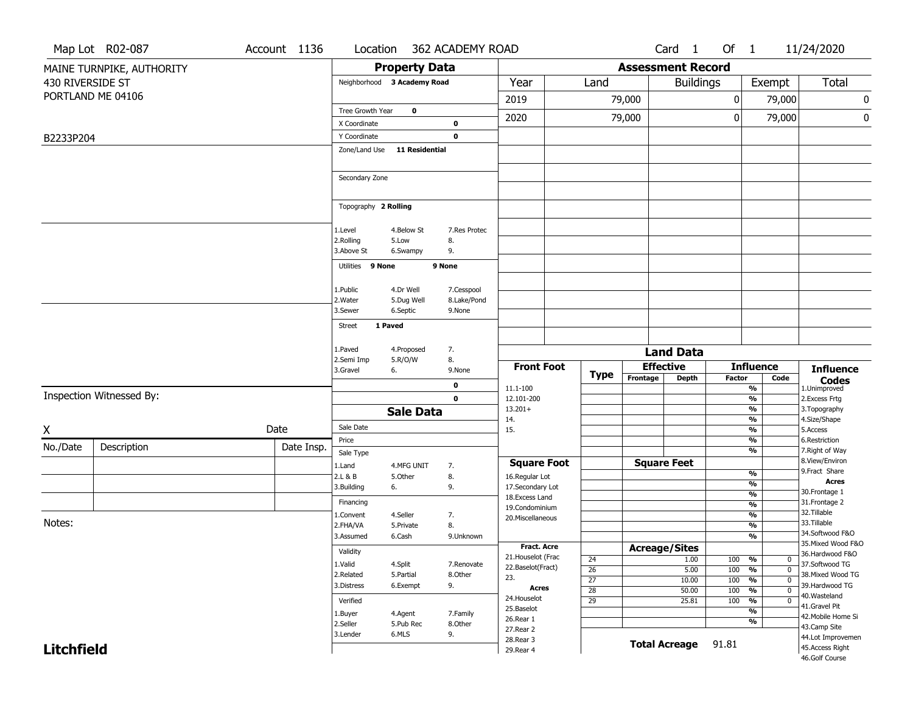|                   | Map Lot R02-087           | Account 1136 | Location                    |                       | 362 ACADEMY ROAD |                                          |                       |                          | Card <sub>1</sub>                    | Of $1$        |                                                       | 11/24/2020                           |
|-------------------|---------------------------|--------------|-----------------------------|-----------------------|------------------|------------------------------------------|-----------------------|--------------------------|--------------------------------------|---------------|-------------------------------------------------------|--------------------------------------|
|                   | MAINE TURNPIKE, AUTHORITY |              |                             | <b>Property Data</b>  |                  |                                          |                       | <b>Assessment Record</b> |                                      |               |                                                       |                                      |
| 430 RIVERSIDE ST  |                           |              | Neighborhood 3 Academy Road |                       |                  | Year                                     | Land                  |                          | <b>Buildings</b>                     |               | Exempt                                                | Total                                |
|                   | PORTLAND ME 04106         |              |                             |                       |                  | 2019                                     |                       | 79,000                   |                                      | 0             | 79,000                                                | 0                                    |
|                   |                           |              | Tree Growth Year            | $\mathbf 0$           |                  |                                          |                       |                          |                                      |               |                                                       |                                      |
|                   |                           |              | X Coordinate                |                       | 0                | 2020                                     |                       | 79,000                   |                                      | $\mathbf 0$   | 79,000                                                | 0                                    |
| B2233P204         |                           |              | Y Coordinate                |                       | $\mathbf 0$      |                                          |                       |                          |                                      |               |                                                       |                                      |
|                   |                           |              | Zone/Land Use               | <b>11 Residential</b> |                  |                                          |                       |                          |                                      |               |                                                       |                                      |
|                   |                           |              |                             |                       |                  |                                          |                       |                          |                                      |               |                                                       |                                      |
|                   |                           |              | Secondary Zone              |                       |                  |                                          |                       |                          |                                      |               |                                                       |                                      |
|                   |                           |              |                             |                       |                  |                                          |                       |                          |                                      |               |                                                       |                                      |
|                   |                           |              | Topography 2 Rolling        |                       |                  |                                          |                       |                          |                                      |               |                                                       |                                      |
|                   |                           |              | 1.Level                     | 4.Below St            | 7.Res Protec     |                                          |                       |                          |                                      |               |                                                       |                                      |
|                   |                           |              | 2.Rolling                   | 5.Low                 | 8.               |                                          |                       |                          |                                      |               |                                                       |                                      |
|                   |                           |              | 3.Above St                  | 6.Swampy              | 9.               |                                          |                       |                          |                                      |               |                                                       |                                      |
|                   |                           |              | Utilities 9 None            |                       | 9 None           |                                          |                       |                          |                                      |               |                                                       |                                      |
|                   |                           |              | 1.Public                    | 4.Dr Well             | 7.Cesspool       |                                          |                       |                          |                                      |               |                                                       |                                      |
|                   |                           |              | 2. Water                    | 5.Dug Well            | 8.Lake/Pond      |                                          |                       |                          |                                      |               |                                                       |                                      |
|                   |                           |              | 3.Sewer                     | 6.Septic              | 9.None           |                                          |                       |                          |                                      |               |                                                       |                                      |
|                   |                           |              | 1 Paved<br>Street           |                       |                  |                                          |                       |                          |                                      |               |                                                       |                                      |
|                   |                           |              | 1.Paved                     | 4.Proposed            | 7.               |                                          |                       |                          |                                      |               |                                                       |                                      |
|                   |                           |              | 2.Semi Imp                  | 5.R/O/W               | 8.               |                                          |                       |                          | <b>Land Data</b><br><b>Effective</b> |               |                                                       |                                      |
|                   |                           |              | 3.Gravel                    | 6.                    | 9.None           | <b>Front Foot</b>                        | <b>Type</b>           | Frontage                 | <b>Depth</b>                         | <b>Factor</b> | <b>Influence</b><br>Code                              | <b>Influence</b><br><b>Codes</b>     |
|                   |                           |              |                             |                       | 0                | 11.1-100                                 |                       |                          |                                      |               | %                                                     | 1.Unimproved                         |
|                   | Inspection Witnessed By:  |              |                             |                       | $\mathbf 0$      | 12.101-200<br>$13.201+$                  |                       |                          |                                      |               | %<br>%                                                | 2. Excess Frtg<br>3. Topography      |
|                   |                           |              |                             | <b>Sale Data</b>      |                  | 14.                                      |                       |                          |                                      |               | %                                                     | 4.Size/Shape                         |
| X                 |                           | Date         | Sale Date                   |                       |                  | 15.                                      |                       |                          |                                      |               | %                                                     | 5.Access                             |
| No./Date          | Description               | Date Insp.   | Price                       |                       |                  |                                          |                       |                          |                                      |               | %<br>%                                                | 6.Restriction<br>7. Right of Way     |
|                   |                           |              | Sale Type                   |                       |                  | <b>Square Foot</b>                       |                       |                          | <b>Square Feet</b>                   |               |                                                       | 8.View/Environ                       |
|                   |                           |              | 1.Land<br>2.L & B           | 4.MFG UNIT<br>5.Other | 7.<br>8.         | 16.Regular Lot                           |                       |                          |                                      |               | %                                                     | 9.Fract Share                        |
|                   |                           |              | 3.Building                  | 6.                    | 9.               | 17.Secondary Lot                         |                       |                          |                                      |               | %                                                     | <b>Acres</b><br>30. Frontage 1       |
|                   |                           |              | Financing                   |                       |                  | 18.Excess Land<br>19.Condominium         |                       |                          |                                      |               | $\frac{9}{6}$<br>%                                    | 31. Frontage 2                       |
|                   |                           |              | 1.Convent                   | 4.Seller              | 7.               | 20.Miscellaneous                         |                       |                          |                                      |               | $\frac{9}{6}$                                         | 32.Tillable                          |
| Notes:            |                           |              | 2.FHA/VA                    | 5.Private             | 8.               |                                          |                       |                          |                                      |               | %                                                     | 33.Tillable<br>34.Softwood F&O       |
|                   |                           |              | 3.Assumed                   | 6.Cash                | 9.Unknown        |                                          |                       |                          |                                      |               | $\frac{9}{6}$                                         | 35. Mixed Wood F&O                   |
|                   |                           |              | Validity                    |                       |                  | <b>Fract. Acre</b><br>21. Houselot (Frac |                       | <b>Acreage/Sites</b>     |                                      |               |                                                       | 36.Hardwood F&O                      |
|                   |                           |              | 1.Valid                     | 4.Split               | 7.Renovate       | 22.Baselot(Fract)                        | 24<br>$\overline{26}$ |                          | 1.00<br>5.00                         | 100 %<br>100  | $\mathbf 0$<br>$\frac{1}{\sqrt{6}}$<br>$\overline{0}$ | 37.Softwood TG                       |
|                   |                           |              | 2.Related                   | 5.Partial             | 8.Other          | 23.                                      | $\overline{27}$       |                          | 10.00                                | 100           | $\frac{9}{6}$<br>$\overline{0}$                       | 38. Mixed Wood TG                    |
|                   |                           |              | 3.Distress                  | 6.Exempt              | 9.               | Acres                                    | 28                    |                          | 50.00                                | 100           | $\frac{9}{6}$<br>$\overline{0}$                       | 39.Hardwood TG<br>40. Wasteland      |
|                   |                           |              | Verified                    |                       |                  | 24. Houselot                             | $\overline{29}$       |                          | 25.81                                | 100           | $\frac{9}{6}$<br>$\overline{0}$                       | 41.Gravel Pit                        |
|                   |                           |              | 1.Buyer                     | 4.Agent               | 7.Family         | 25.Baselot<br>26.Rear 1                  |                       |                          |                                      |               | $\overline{\frac{9}{6}}$                              | 42. Mobile Home Si                   |
|                   |                           |              | 2.Seller                    | 5.Pub Rec             | 8.Other          | 27.Rear 2                                |                       |                          |                                      |               | $\overline{\frac{9}{6}}$                              | 43.Camp Site                         |
| <b>Litchfield</b> |                           |              | 3.Lender                    | 6.MLS                 | 9.               | 28. Rear 3                               |                       |                          | <b>Total Acreage</b>                 | 91.81         |                                                       | 44.Lot Improvemen<br>45.Access Right |
|                   |                           |              |                             |                       |                  | 29. Rear 4                               |                       |                          |                                      |               |                                                       |                                      |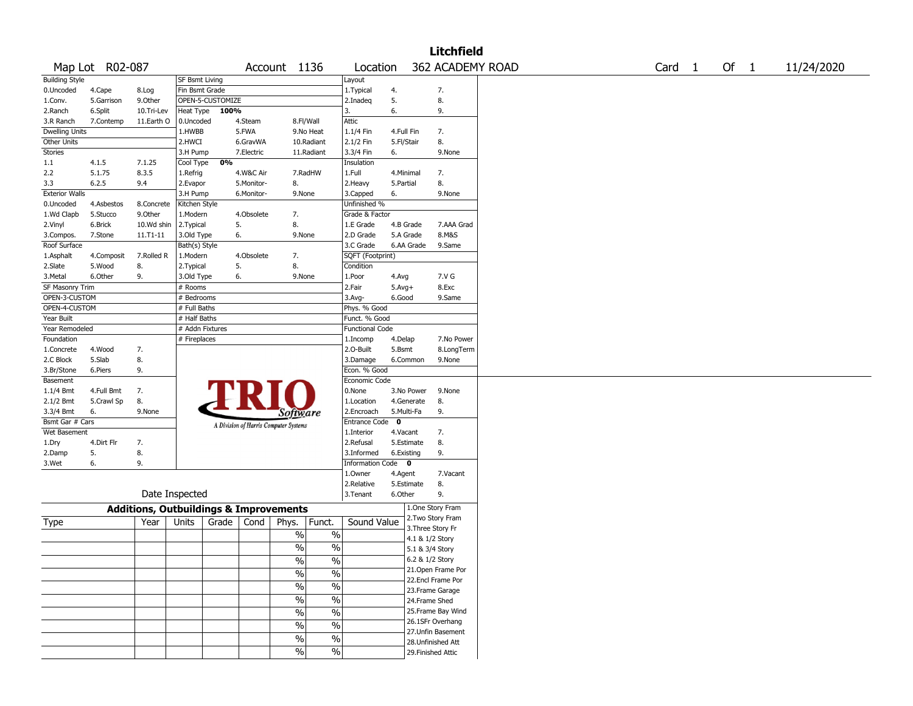|                         |                 |                                                   |                 |                  |            |                                       |                          |                          |              |            | <b>Litchfield</b>  |  |                   |        |            |
|-------------------------|-----------------|---------------------------------------------------|-----------------|------------------|------------|---------------------------------------|--------------------------|--------------------------|--------------|------------|--------------------|--|-------------------|--------|------------|
|                         | Map Lot R02-087 |                                                   |                 |                  |            | Account 1136                          |                          | Location                 |              |            | 362 ACADEMY ROAD   |  | Card <sub>1</sub> | Of $1$ | 11/24/2020 |
| <b>Building Style</b>   |                 |                                                   | SF Bsmt Living  |                  |            |                                       |                          | Layout                   |              |            |                    |  |                   |        |            |
| 0.Uncoded               | 4.Cape          | 8.Log                                             | Fin Bsmt Grade  |                  |            |                                       |                          | 1. Typical               | 4.           |            | 7.                 |  |                   |        |            |
| 1.Conv.                 | 5.Garrison      | 9.0ther                                           |                 | OPEN-5-CUSTOMIZE |            |                                       |                          | 2.Inadeq                 | 5.           |            | 8.                 |  |                   |        |            |
| 2.Ranch                 | 6.Split         | 10.Tri-Lev                                        | Heat Type       | 100%             |            |                                       |                          | 3.                       | 6.           |            | 9.                 |  |                   |        |            |
| 3.R Ranch               | 7.Contemp       | 11.Earth O                                        | 0.Uncoded       |                  | 4.Steam    | 8.Fl/Wall                             |                          | Attic                    |              |            |                    |  |                   |        |            |
| <b>Dwelling Units</b>   |                 |                                                   | 1.HWBB          |                  | 5.FWA      |                                       | 9.No Heat                | 1.1/4 Fin                | 4.Full Fin   |            | 7.                 |  |                   |        |            |
| Other Units             |                 |                                                   | 2.HWCI          |                  | 6.GravWA   |                                       | 10.Radiant               | 2.1/2 Fin                | 5.Fl/Stair   |            | 8.                 |  |                   |        |            |
| <b>Stories</b>          |                 |                                                   | 3.H Pump        |                  | 7.Electric |                                       | 11.Radiant               | 3.3/4 Fin                | 6.           |            | 9.None             |  |                   |        |            |
| 1.1                     | 4.1.5           | 7.1.25                                            | Cool Type       | 0%               |            |                                       |                          | Insulation               |              |            |                    |  |                   |        |            |
| 2.2                     | 5.1.75          | 8.3.5                                             | 1.Refrig        |                  | 4.W&C Air  |                                       | 7.RadHW                  | 1.Full                   | 4.Minimal    |            | 7.                 |  |                   |        |            |
| 3.3                     | 6.2.5           | 9.4                                               | 2.Evapor        |                  | 5.Monitor- | 8.                                    |                          | 2.Heavy                  | 5.Partial    |            | 8.                 |  |                   |        |            |
| <b>Exterior Walls</b>   |                 |                                                   | 3.H Pump        |                  | 6.Monitor- | 9.None                                |                          | 3.Capped                 | 6.           |            | 9.None             |  |                   |        |            |
| 0.Uncoded               | 4.Asbestos      | 8.Concrete                                        | Kitchen Style   |                  |            |                                       |                          | Unfinished %             |              |            |                    |  |                   |        |            |
| 1.Wd Clapb              | 5.Stucco        | 9.0ther                                           | 1.Modern        |                  | 4.Obsolete | 7.                                    |                          | Grade & Factor           |              |            |                    |  |                   |        |            |
| 2.Vinyl                 | 6.Brick         | 10.Wd shin                                        | 2.Typical       |                  | 5.         | 8.                                    |                          | 1.E Grade                | 4.B Grade    |            | 7.AAA Grad         |  |                   |        |            |
| 3.Compos.               | 7.Stone         | 11.T1-11                                          | 3.Old Type      |                  | 6.         | 9.None                                |                          | 2.D Grade                |              | 5.A Grade  | 8.M&S              |  |                   |        |            |
| Roof Surface            |                 |                                                   | Bath(s) Style   |                  |            |                                       |                          | 3.C Grade                |              | 6.AA Grade | 9.Same             |  |                   |        |            |
| 1.Asphalt               | 4.Composit      | 7.Rolled R                                        | 1.Modern        |                  | 4.Obsolete | 7.                                    |                          | SQFT (Footprint)         |              |            |                    |  |                   |        |            |
| 2.Slate                 | 5.Wood          | 8.                                                | 2.Typical       |                  | 5.         | 8.                                    |                          | Condition                |              |            |                    |  |                   |        |            |
| 3.Metal                 | 6.Other         | 9.                                                | 3.Old Type      |                  | 6.         | 9.None                                |                          | 1.Poor                   | 4.Avg        |            | 7.V G              |  |                   |        |            |
| SF Masonry Trim         |                 |                                                   | # Rooms         |                  |            |                                       |                          | 2.Fair                   | $5.$ Avg $+$ |            | 8.Exc              |  |                   |        |            |
| OPEN-3-CUSTOM           |                 |                                                   | # Bedrooms      |                  |            |                                       |                          | 3.Avg-                   | 6.Good       |            | 9.Same             |  |                   |        |            |
| OPEN-4-CUSTOM           |                 |                                                   | # Full Baths    |                  |            |                                       |                          | Phys. % Good             |              |            |                    |  |                   |        |            |
| Year Built              |                 |                                                   | # Half Baths    |                  |            |                                       |                          | Funct. % Good            |              |            |                    |  |                   |        |            |
| Year Remodeled          |                 |                                                   | # Addn Fixtures |                  |            |                                       |                          | <b>Functional Code</b>   |              |            |                    |  |                   |        |            |
| Foundation              |                 |                                                   | # Fireplaces    |                  |            |                                       |                          | 1.Incomp                 | 4.Delap      |            | 7.No Power         |  |                   |        |            |
| 1.Concrete              | 4.Wood          | 7.                                                |                 |                  |            |                                       |                          | 2.0-Built                | 5.Bsmt       |            | 8.LongTerm         |  |                   |        |            |
|                         | 5.Slab          | 8.                                                |                 |                  |            |                                       |                          |                          |              |            |                    |  |                   |        |            |
| 2.C Block<br>3.Br/Stone |                 |                                                   |                 |                  |            |                                       |                          | 3.Damage<br>Econ. % Good |              | 6.Common   | 9.None             |  |                   |        |            |
|                         | 6.Piers         | 9.                                                |                 |                  |            |                                       |                          |                          |              |            |                    |  |                   |        |            |
| Basement                |                 |                                                   |                 |                  |            |                                       |                          | Economic Code            |              |            |                    |  |                   |        |            |
| 1.1/4 Bmt               | 4.Full Bmt      | 7.                                                |                 |                  |            |                                       |                          | 0.None                   |              | 3.No Power | 9.None             |  |                   |        |            |
| 2.1/2 Bmt               | 5.Crawl Sp      | 8.                                                |                 |                  |            |                                       |                          | 1.Location               |              | 4.Generate | 8.                 |  |                   |        |            |
| 3.3/4 Bmt               | 6.              | 9.None                                            |                 |                  |            | Software                              |                          | 2.Encroach               | 5.Multi-Fa   |            | 9.                 |  |                   |        |            |
| Bsmt Gar # Cars         |                 |                                                   |                 |                  |            | A Division of Harris Computer Systems |                          | Entrance Code            | $\mathbf 0$  |            |                    |  |                   |        |            |
| Wet Basement            |                 |                                                   |                 |                  |            |                                       |                          | 1.Interior               | 4.Vacant     |            | 7.                 |  |                   |        |            |
| 1.Dry                   | 4.Dirt Flr      | 7.                                                |                 |                  |            |                                       |                          | 2.Refusal                |              | 5.Estimate | 8.                 |  |                   |        |            |
| 2.Damp                  | 5.              | 8.                                                |                 |                  |            |                                       |                          | 3.Informed               | 6.Existing   |            | 9.                 |  |                   |        |            |
| 3.Wet                   | 6.              | 9.                                                |                 |                  |            |                                       |                          | Information Code 0       |              |            |                    |  |                   |        |            |
|                         |                 |                                                   |                 |                  |            |                                       |                          | 1.0wner                  | 4.Agent      |            | 7.Vacant           |  |                   |        |            |
|                         |                 |                                                   |                 |                  |            |                                       |                          | 2.Relative               |              | 5.Estimate | 8.                 |  |                   |        |            |
|                         |                 |                                                   | Date Inspected  |                  |            |                                       |                          | 3.Tenant                 | 6.Other      |            | 9.                 |  |                   |        |            |
|                         |                 | <b>Additions, Outbuildings &amp; Improvements</b> |                 |                  |            |                                       |                          |                          |              |            | 1.One Story Fram   |  |                   |        |            |
| Type                    |                 | Year                                              | Units           | Grade            | Cond       | Phys.                                 | Funct.                   | Sound Value              |              |            | 2. Two Story Fram  |  |                   |        |            |
|                         |                 |                                                   |                 |                  |            | $\%$                                  | $\%$                     |                          |              |            | 3. Three Story Fr  |  |                   |        |            |
|                         |                 |                                                   |                 |                  |            |                                       |                          |                          |              |            | 4.1 & 1/2 Story    |  |                   |        |            |
|                         |                 |                                                   |                 |                  |            | $\frac{0}{0}$                         | $\%$                     |                          |              |            | 5.1 & 3/4 Story    |  |                   |        |            |
|                         |                 |                                                   |                 |                  |            | $\frac{1}{2}$                         | $\sqrt{96}$              |                          |              |            | 6.2 & 1/2 Story    |  |                   |        |            |
|                         |                 |                                                   |                 |                  |            | $\frac{1}{2}$                         | $\overline{\frac{0}{0}}$ |                          |              |            | 21. Open Frame Por |  |                   |        |            |
|                         |                 |                                                   |                 |                  |            |                                       |                          |                          |              |            | 22.Encl Frame Por  |  |                   |        |            |
|                         |                 |                                                   |                 |                  |            | $\frac{0}{6}$                         | $\overline{\frac{0}{0}}$ |                          |              |            | 23. Frame Garage   |  |                   |        |            |
|                         |                 |                                                   |                 |                  |            | $\frac{9}{6}$                         | $\overline{\frac{0}{0}}$ |                          |              |            | 24.Frame Shed      |  |                   |        |            |
|                         |                 |                                                   |                 |                  |            | $\frac{9}{6}$                         | $\overline{\frac{0}{0}}$ |                          |              |            | 25. Frame Bay Wind |  |                   |        |            |
|                         |                 |                                                   |                 |                  |            | $\frac{1}{2}$                         | $\overline{\frac{0}{0}}$ |                          |              |            | 26.1SFr Overhang   |  |                   |        |            |
|                         |                 |                                                   |                 |                  |            |                                       |                          |                          |              |            | 27.Unfin Basement  |  |                   |        |            |
|                         |                 |                                                   |                 |                  |            | $\%$                                  | $\overline{\frac{0}{0}}$ |                          |              |            | 28. Unfinished Att |  |                   |        |            |
|                         |                 |                                                   |                 |                  |            | $\sqrt{6}$                            | $\sqrt{6}$               |                          |              |            | 29. Finished Attic |  |                   |        |            |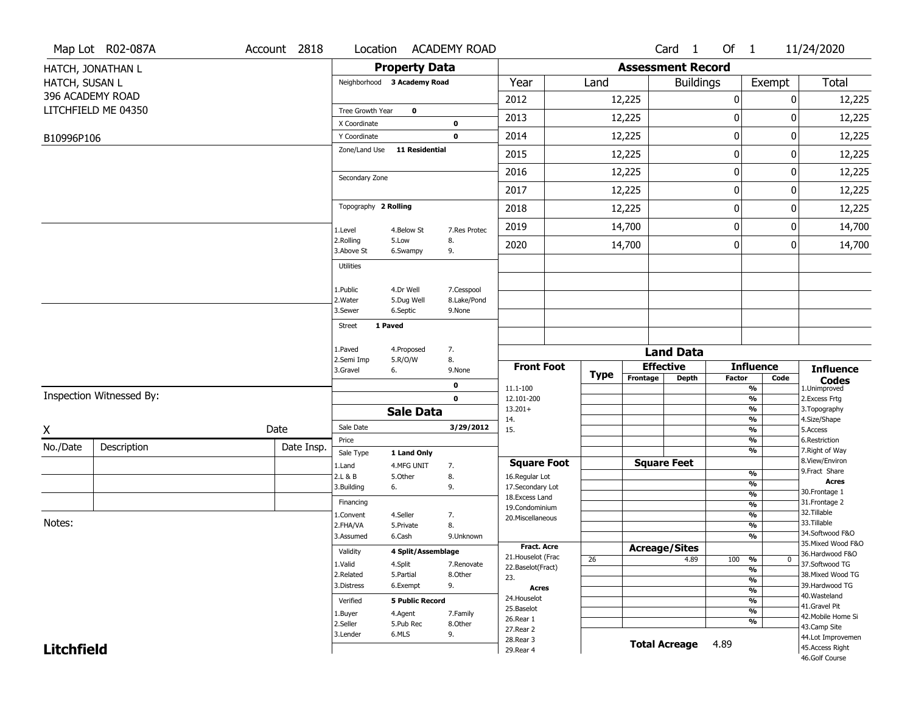|                   | Map Lot R02-087A         | Account 2818 | Location                      |                        | <b>ACADEMY ROAD</b> |                                    |             |                          | Card <sub>1</sub>            | Of $1$      |                                           | 11/24/2020                          |
|-------------------|--------------------------|--------------|-------------------------------|------------------------|---------------------|------------------------------------|-------------|--------------------------|------------------------------|-------------|-------------------------------------------|-------------------------------------|
|                   | HATCH, JONATHAN L        |              |                               | <b>Property Data</b>   |                     |                                    |             | <b>Assessment Record</b> |                              |             |                                           |                                     |
| HATCH, SUSAN L    |                          |              | Neighborhood 3 Academy Road   |                        |                     | Year                               | Land        |                          | <b>Buildings</b>             |             | Exempt                                    | Total                               |
|                   | 396 ACADEMY ROAD         |              |                               |                        |                     | 2012                               |             | 12,225                   |                              | $\pmb{0}$   | 0                                         | 12,225                              |
|                   | LITCHFIELD ME 04350      |              | Tree Growth Year              | $\mathbf 0$            |                     | 2013                               |             | 12,225                   |                              | 0           | 0                                         | 12,225                              |
|                   |                          |              | X Coordinate                  |                        | 0                   |                                    |             |                          |                              |             |                                           |                                     |
| B10996P106        |                          |              | Y Coordinate<br>Zone/Land Use | <b>11 Residential</b>  | $\mathbf 0$         | 2014                               |             | 12,225                   |                              | $\mathbf 0$ | 0                                         | 12,225                              |
|                   |                          |              |                               |                        |                     | 2015                               |             | 12,225                   |                              | $\mathbf 0$ | 0                                         | 12,225                              |
|                   |                          |              | Secondary Zone                |                        |                     | 2016                               |             | 12,225                   |                              | 0           | 0                                         | 12,225                              |
|                   |                          |              |                               |                        |                     | 2017                               |             | 12,225                   |                              | 0           | 0                                         | 12,225                              |
|                   |                          |              | Topography 2 Rolling          |                        |                     | 2018                               |             | 12,225                   |                              | $\mathbf 0$ | 0                                         | 12,225                              |
|                   |                          |              | 1.Level                       | 4.Below St             | 7.Res Protec        | 2019                               |             | 14,700                   |                              | $\mathbf 0$ | 0                                         | 14,700                              |
|                   |                          |              | 2.Rolling<br>3.Above St       | 5.Low<br>6.Swampy      | 8.<br>9.            | 2020                               |             | 14,700                   |                              | 0           | 0                                         | 14,700                              |
|                   |                          |              | <b>Utilities</b>              |                        |                     |                                    |             |                          |                              |             |                                           |                                     |
|                   |                          |              | 1.Public                      | 4.Dr Well              | 7.Cesspool          |                                    |             |                          |                              |             |                                           |                                     |
|                   |                          |              | 2. Water                      | 5.Dug Well             | 8.Lake/Pond         |                                    |             |                          |                              |             |                                           |                                     |
|                   |                          |              | 3.Sewer                       | 6.Septic               | 9.None              |                                    |             |                          |                              |             |                                           |                                     |
|                   |                          |              | 1 Paved<br><b>Street</b>      |                        |                     |                                    |             |                          |                              |             |                                           |                                     |
|                   |                          |              | 1.Paved                       | 4.Proposed             | 7.                  |                                    |             |                          | <b>Land Data</b>             |             |                                           |                                     |
|                   |                          |              | 2.Semi Imp                    | 5.R/O/W                | 8.                  | <b>Front Foot</b>                  |             |                          | <b>Effective</b>             |             | <b>Influence</b>                          | <b>Influence</b>                    |
|                   |                          |              | 3.Gravel                      | 6.                     | 9.None              |                                    | <b>Type</b> | Frontage                 | <b>Depth</b>                 | Factor      | Code                                      | <b>Codes</b><br>1.Unimproved        |
|                   | Inspection Witnessed By: |              |                               |                        | 0<br>$\mathbf 0$    | 11.1-100<br>12.101-200             |             |                          |                              |             | $\frac{9}{6}$<br>$\frac{9}{6}$            | 2.Excess Frtg                       |
|                   |                          |              |                               | <b>Sale Data</b>       |                     | $13.201+$                          |             |                          |                              |             | $\overline{\frac{9}{6}}$                  | 3. Topography                       |
| X                 |                          | Date         | Sale Date                     |                        | 3/29/2012           | 14.<br>15.                         |             |                          |                              |             | $\frac{9}{6}$<br>$\overline{\frac{9}{6}}$ | 4.Size/Shape<br>5.Access            |
| No./Date          | Description              | Date Insp.   | Price                         |                        |                     |                                    |             |                          |                              |             | $\frac{9}{6}$                             | 6.Restriction                       |
|                   |                          |              | Sale Type                     | 1 Land Only            |                     | <b>Square Foot</b>                 |             |                          | <b>Square Feet</b>           |             | $\frac{9}{6}$                             | 7. Right of Way<br>8.View/Environ   |
|                   |                          |              | 1.Land<br>2.L & B             | 4.MFG UNIT<br>5.Other  | 7.<br>8.            | 16.Regular Lot                     |             |                          |                              |             | $\frac{9}{6}$                             | 9.Fract Share                       |
|                   |                          |              | 3.Building                    | 6.                     | 9.                  | 17.Secondary Lot                   |             |                          |                              |             | %                                         | <b>Acres</b><br>30. Frontage 1      |
|                   |                          |              | Financing                     |                        |                     | 18. Excess Land                    |             |                          |                              |             | %<br>%                                    | 31. Frontage 2                      |
|                   |                          |              | 1.Convent                     | 4.Seller               | 7.                  | 19.Condominium<br>20.Miscellaneous |             |                          |                              |             | $\frac{9}{6}$                             | 32.Tillable                         |
| Notes:            |                          |              | 2.FHA/VA                      | 5.Private              | 8.                  |                                    |             |                          |                              |             | %                                         | 33.Tillable<br>34.Softwood F&O      |
|                   |                          |              | 3.Assumed                     | 6.Cash                 | 9.Unknown           | <b>Fract. Acre</b>                 |             |                          |                              |             | %                                         | 35. Mixed Wood F&O                  |
|                   |                          |              | Validity                      | 4 Split/Assemblage     |                     | 21. Houselot (Frac                 | 26          |                          | <b>Acreage/Sites</b><br>4.89 | 100         | %<br>$\bf{0}$                             | 36.Hardwood F&O                     |
|                   |                          |              | 1.Valid                       | 4.Split                | 7.Renovate          | 22.Baselot(Fract)                  |             |                          |                              |             | %                                         | 37.Softwood TG                      |
|                   |                          |              | 2.Related<br>3.Distress       | 5.Partial<br>6.Exempt  | 8.Other<br>9.       | 23.                                |             |                          |                              |             | %                                         | 38. Mixed Wood TG<br>39.Hardwood TG |
|                   |                          |              |                               |                        |                     | <b>Acres</b><br>24. Houselot       |             |                          |                              |             | $\frac{9}{6}$                             | 40. Wasteland                       |
|                   |                          |              | Verified                      | <b>5 Public Record</b> |                     | 25.Baselot                         |             |                          |                              |             | %<br>$\overline{\frac{9}{6}}$             | 41.Gravel Pit                       |
|                   |                          |              | 1.Buyer<br>2.Seller           | 4.Agent<br>5.Pub Rec   | 7.Family<br>8.Other | 26.Rear 1                          |             |                          |                              |             | %                                         | 42. Mobile Home Si                  |
|                   |                          |              | 3.Lender                      | 6.MLS                  | 9.                  | 27.Rear 2                          |             |                          |                              |             |                                           | 43.Camp Site<br>44.Lot Improvemen   |
| <b>Litchfield</b> |                          |              |                               |                        |                     |                                    |             |                          |                              |             |                                           |                                     |
|                   |                          |              |                               |                        |                     | 28. Rear 3<br>29. Rear 4           |             |                          | <b>Total Acreage</b>         | 4.89        |                                           | 45.Access Right                     |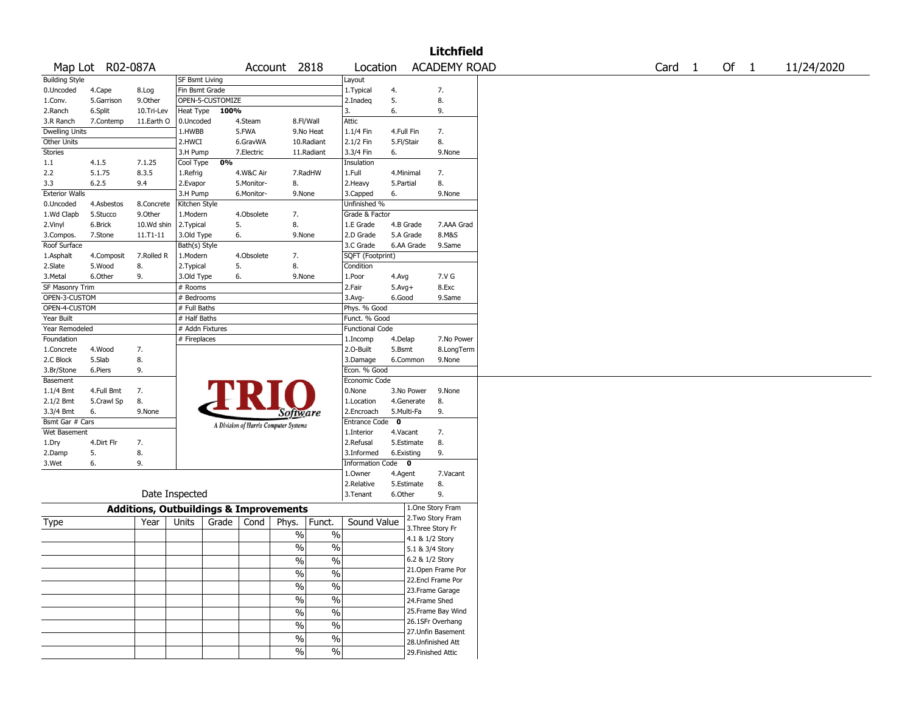|                       |                  |                                                   |                 |                  |            |                                       |               |                        |             |            | <b>Litchfield</b>   |        |      |            |
|-----------------------|------------------|---------------------------------------------------|-----------------|------------------|------------|---------------------------------------|---------------|------------------------|-------------|------------|---------------------|--------|------|------------|
|                       | Map Lot R02-087A |                                                   |                 |                  |            | Account 2818                          |               | Location               |             |            | <b>ACADEMY ROAD</b> | Card 1 | Of 1 | 11/24/2020 |
| <b>Building Style</b> |                  |                                                   | SF Bsmt Living  |                  |            |                                       |               | Layout                 |             |            |                     |        |      |            |
| 0.Uncoded             | 4.Cape           | 8.Log                                             | Fin Bsmt Grade  |                  |            |                                       |               | 1.Typical              | 4.          |            | 7.                  |        |      |            |
| 1.Conv.               | 5.Garrison       | 9.0ther                                           |                 | OPEN-5-CUSTOMIZE |            |                                       |               | 2.Inadeq               | 5.          |            | 8.                  |        |      |            |
| 2.Ranch               | 6.Split          | 10.Tri-Lev                                        | Heat Type       | 100%             |            |                                       |               | 3.                     | 6.          |            | 9.                  |        |      |            |
| 3.R Ranch             | 7.Contemp        | 11.Earth O                                        | 0.Uncoded       |                  | 4.Steam    | 8.Fl/Wall                             |               | Attic                  |             |            |                     |        |      |            |
| <b>Dwelling Units</b> |                  |                                                   | 1.HWBB          |                  | 5.FWA      | 9.No Heat                             |               | 1.1/4 Fin              | 4.Full Fin  |            | 7.                  |        |      |            |
| Other Units           |                  |                                                   | 2.HWCI          |                  | 6.GravWA   | 10.Radiant                            |               | 2.1/2 Fin              | 5.Fl/Stair  |            | 8.                  |        |      |            |
| <b>Stories</b>        |                  |                                                   | 3.H Pump        |                  | 7.Electric | 11.Radiant                            |               | 3.3/4 Fin              | 6.          |            | 9.None              |        |      |            |
| 1.1                   | 4.1.5            | 7.1.25                                            | Cool Type       | 0%               |            |                                       |               | Insulation             |             |            |                     |        |      |            |
| 2.2                   | 5.1.75           | 8.3.5                                             | 1.Refrig        |                  | 4.W&C Air  | 7.RadHW                               |               | 1.Full                 | 4.Minimal   |            | 7.                  |        |      |            |
| 3.3                   | 6.2.5            | 9.4                                               | 2.Evapor        |                  | 5.Monitor- | 8.                                    |               | 2. Heavy               | 5.Partial   |            | 8.                  |        |      |            |
| <b>Exterior Walls</b> |                  |                                                   | 3.H Pump        |                  | 6.Monitor- | 9.None                                |               | 3.Capped               | 6.          |            | 9.None              |        |      |            |
| 0.Uncoded             | 4.Asbestos       | 8.Concrete                                        | Kitchen Style   |                  |            |                                       |               | Unfinished %           |             |            |                     |        |      |            |
| 1.Wd Clapb            | 5.Stucco         | 9.0ther                                           | 1.Modern        |                  | 4.Obsolete | 7.                                    |               | Grade & Factor         |             |            |                     |        |      |            |
| 2.Vinyl               | 6.Brick          | 10.Wd shin                                        | 2. Typical      |                  | 5.         | 8.                                    |               | 1.E Grade              | 4.B Grade   |            | 7.AAA Grad          |        |      |            |
| 3.Compos.             | 7.Stone          | $11.71 - 11$                                      | 3.Old Type      |                  | 6.         | 9.None                                |               | 2.D Grade              | 5.A Grade   |            | 8.M&S               |        |      |            |
| Roof Surface          |                  |                                                   | Bath(s) Style   |                  |            |                                       |               | 3.C Grade              |             | 6.AA Grade | 9.Same              |        |      |            |
| 1.Asphalt             | 4.Composit       | 7.Rolled R                                        | 1.Modern        |                  | 4.Obsolete | 7.                                    |               | SQFT (Footprint)       |             |            |                     |        |      |            |
| 2.Slate               | 5.Wood           | 8.                                                | 2. Typical      |                  | 5.         | 8.                                    |               | Condition              |             |            |                     |        |      |            |
| 3. Metal              | 6.Other          | 9.                                                | 3.Old Type      |                  | 6.         | 9.None                                |               | 1.Poor                 | 4.Avg       |            | 7.V G               |        |      |            |
| SF Masonry Trim       |                  |                                                   | # Rooms         |                  |            |                                       |               | 2.Fair                 |             |            | 8.Exc               |        |      |            |
| OPEN-3-CUSTOM         |                  |                                                   |                 |                  |            |                                       |               |                        | $5.Avg+$    |            |                     |        |      |            |
|                       |                  |                                                   | # Bedrooms      |                  |            |                                       |               | 3.Avg-                 | 6.Good      |            | 9.Same              |        |      |            |
| OPEN-4-CUSTOM         |                  |                                                   | # Full Baths    |                  |            |                                       |               | Phys. % Good           |             |            |                     |        |      |            |
| Year Built            |                  |                                                   | # Half Baths    |                  |            |                                       |               | Funct. % Good          |             |            |                     |        |      |            |
| Year Remodeled        |                  |                                                   | # Addn Fixtures |                  |            |                                       |               | <b>Functional Code</b> |             |            |                     |        |      |            |
| Foundation            |                  |                                                   | # Fireplaces    |                  |            |                                       |               | 1.Incomp               | 4.Delap     |            | 7.No Power          |        |      |            |
| 1.Concrete            | 4.Wood           | 7.                                                |                 |                  |            |                                       |               | 2.0-Built              | 5.Bsmt      |            | 8.LongTerm          |        |      |            |
| 2.C Block             | 5.Slab           | 8.                                                |                 |                  |            |                                       |               | 3.Damage               | 6.Common    |            | 9.None              |        |      |            |
| 3.Br/Stone            | 6.Piers          | 9.                                                |                 |                  |            |                                       |               | Econ. % Good           |             |            |                     |        |      |            |
| Basement              |                  |                                                   |                 |                  |            |                                       |               | Economic Code          |             |            |                     |        |      |            |
| 1.1/4 Bmt             | 4.Full Bmt       | 7.                                                |                 |                  |            |                                       |               | 0.None                 |             | 3.No Power | 9.None              |        |      |            |
| 2.1/2 Bmt             | 5.Crawl Sp       | 8.                                                |                 |                  |            |                                       |               | 1.Location             |             | 4.Generate | 8.                  |        |      |            |
| 3.3/4 Bmt             | 6.               | 9.None                                            |                 |                  |            | <i>Software</i>                       |               | 2.Encroach             | 5.Multi-Fa  |            | 9.                  |        |      |            |
| Bsmt Gar # Cars       |                  |                                                   |                 |                  |            | A Division of Harris Computer Systems |               | <b>Entrance Code</b>   | $\mathbf 0$ |            |                     |        |      |            |
| Wet Basement          |                  |                                                   |                 |                  |            |                                       |               | 1.Interior             | 4.Vacant    |            | 7.                  |        |      |            |
| 1.Dry                 | 4.Dirt Flr       | 7.                                                |                 |                  |            |                                       |               | 2.Refusal              | 5.Estimate  |            | 8.                  |        |      |            |
| 2.Damp                | 5.               | 8.                                                |                 |                  |            |                                       |               | 3.Informed             | 6.Existing  |            | 9.                  |        |      |            |
| 3.Wet                 | 6.               | 9.                                                |                 |                  |            |                                       |               | Information Code 0     |             |            |                     |        |      |            |
|                       |                  |                                                   |                 |                  |            |                                       |               | 1.0wner                | 4.Agent     |            | 7.Vacant            |        |      |            |
|                       |                  |                                                   |                 |                  |            |                                       |               | 2.Relative             | 5.Estimate  |            | 8.                  |        |      |            |
|                       |                  | Date Inspected                                    |                 |                  |            |                                       |               | 3.Tenant               | 6.Other     |            | 9.                  |        |      |            |
|                       |                  |                                                   |                 |                  |            |                                       |               |                        |             |            | 1.One Story Fram    |        |      |            |
|                       |                  | <b>Additions, Outbuildings &amp; Improvements</b> |                 |                  |            |                                       |               |                        |             |            | 2. Two Story Fram   |        |      |            |
| Type                  |                  | Year                                              | Units           | Grade            | Cond       | Phys.                                 | Funct.        | Sound Value            |             |            | 3. Three Story Fr   |        |      |            |
|                       |                  |                                                   |                 |                  |            | $\%$                                  | $\%$          |                        |             |            | 4.1 & 1/2 Story     |        |      |            |
|                       |                  |                                                   |                 |                  |            | $\frac{0}{0}$                         | $\%$          |                        |             |            | 5.1 & 3/4 Story     |        |      |            |
|                       |                  |                                                   |                 |                  |            |                                       |               |                        |             |            | 6.2 & 1/2 Story     |        |      |            |
|                       |                  |                                                   |                 |                  |            | $\frac{9}{6}$                         | $\frac{1}{2}$ |                        |             |            |                     |        |      |            |
|                       |                  |                                                   |                 |                  |            | %                                     | $\%$          |                        |             |            | 21.Open Frame Por   |        |      |            |
|                       |                  |                                                   |                 |                  |            | $\sqrt{6}$                            | $\%$          |                        |             |            | 22.Encl Frame Por   |        |      |            |
|                       |                  |                                                   |                 |                  |            |                                       |               |                        |             |            | 23. Frame Garage    |        |      |            |
|                       |                  |                                                   |                 |                  |            | $\sqrt{6}$                            | $\%$          |                        |             |            | 24.Frame Shed       |        |      |            |
|                       |                  |                                                   |                 |                  |            | $\frac{0}{0}$                         | $\%$          |                        |             |            | 25. Frame Bay Wind  |        |      |            |
|                       |                  |                                                   |                 |                  |            | $\%$                                  | $\%$          |                        |             |            | 26.1SFr Overhang    |        |      |            |
|                       |                  |                                                   |                 |                  |            |                                       |               |                        |             |            | 27.Unfin Basement   |        |      |            |
|                       |                  |                                                   |                 |                  |            | $\sqrt{6}$                            | $\frac{1}{2}$ |                        |             |            | 28.Unfinished Att   |        |      |            |
|                       |                  |                                                   |                 |                  |            | $\sqrt{6}$                            | $\sqrt{6}$    |                        |             |            | 29. Finished Attic  |        |      |            |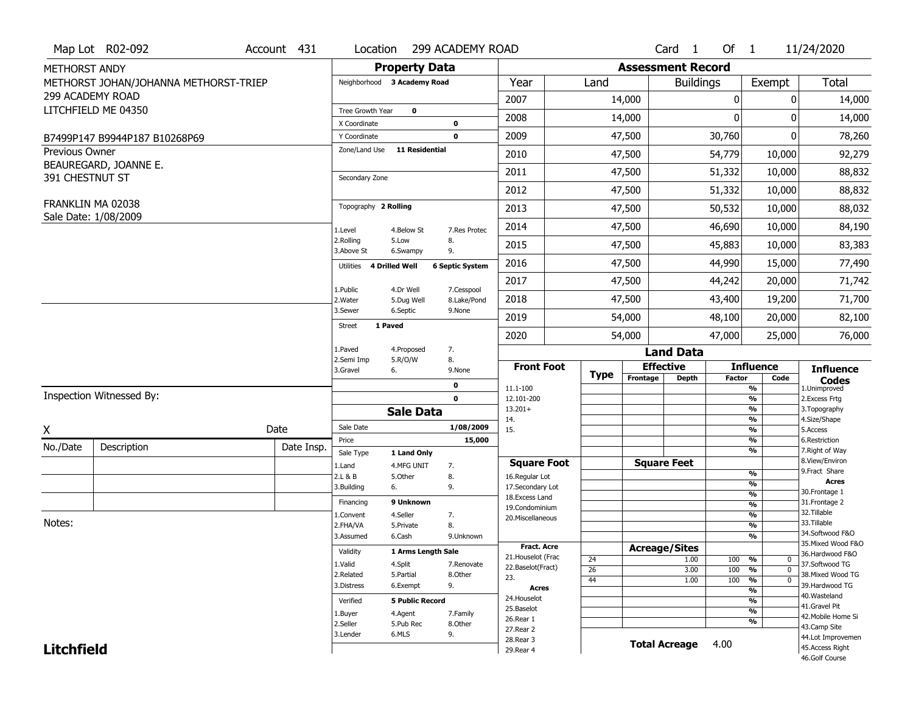|                   | Map Lot R02-092                       | Account 431 | Location                           |                         | 299 ACADEMY ROAD           |                                         |                       |             |                          | Card 1           | Of $1$        |                                           | 11/24/2020                            |
|-------------------|---------------------------------------|-------------|------------------------------------|-------------------------|----------------------------|-----------------------------------------|-----------------------|-------------|--------------------------|------------------|---------------|-------------------------------------------|---------------------------------------|
| METHORST ANDY     |                                       |             |                                    | <b>Property Data</b>    |                            |                                         |                       |             | <b>Assessment Record</b> |                  |               |                                           |                                       |
|                   | METHORST JOHAN/JOHANNA METHORST-TRIEP |             | Neighborhood 3 Academy Road        |                         |                            | Year                                    |                       | Land        |                          | <b>Buildings</b> |               | Exempt                                    | Total                                 |
|                   | 299 ACADEMY ROAD                      |             |                                    |                         |                            | 2007                                    |                       |             | 14,000                   |                  | $\mathbf 0$   | $\mathbf{0}$                              | 14,000                                |
|                   | LITCHFIELD ME 04350                   |             | Tree Growth Year                   | $\bf{0}$                |                            | 2008                                    |                       |             | 14,000                   |                  | $\Omega$      | 0                                         | 14,000                                |
|                   |                                       |             | X Coordinate<br>Y Coordinate       |                         | $\mathbf 0$<br>$\mathbf 0$ | 2009                                    |                       |             | 47,500                   |                  | 30,760        | 0                                         | 78,260                                |
| Previous Owner    | B7499P147 B9944P187 B10268P69         |             | Zone/Land Use                      | <b>11 Residential</b>   |                            |                                         |                       |             |                          |                  |               |                                           |                                       |
|                   | BEAUREGARD, JOANNE E.                 |             |                                    |                         |                            | 2010                                    |                       |             | 47,500                   |                  | 54,779        | 10,000                                    | 92,279                                |
| 391 CHESTNUT ST   |                                       |             | Secondary Zone                     |                         |                            | 2011                                    |                       |             | 47,500                   |                  | 51,332        | 10,000                                    | 88,832                                |
|                   |                                       |             |                                    |                         |                            | 2012                                    |                       |             | 47,500                   |                  | 51,332        | 10,000                                    | 88,832                                |
|                   | FRANKLIN MA 02038                     |             | Topography 2 Rolling               |                         |                            | 2013                                    |                       |             | 47,500                   |                  | 50,532        | 10,000                                    | 88,032                                |
|                   | Sale Date: 1/08/2009                  |             | 1.Level                            | 4.Below St              | 7.Res Protec               | 2014                                    |                       |             | 47,500                   |                  | 46,690        | 10,000                                    | 84,190                                |
|                   |                                       |             | 2.Rolling<br>3.Above St            | 5.Low<br>6.Swampy       | 8.<br>9.                   | 2015                                    |                       |             | 47,500                   |                  | 45,883        | 10,000                                    | 83,383                                |
|                   |                                       |             | <b>4 Drilled Well</b><br>Utilities |                         | <b>6 Septic System</b>     | 2016                                    |                       |             | 47,500                   |                  | 44,990        | 15,000                                    | 77,490                                |
|                   |                                       |             |                                    |                         |                            | 2017                                    |                       |             | 47,500                   |                  | 44,242        | 20,000                                    | 71,742                                |
|                   |                                       |             | 1.Public<br>2.Water                | 4.Dr Well<br>5.Dug Well | 7.Cesspool<br>8.Lake/Pond  | 2018                                    |                       |             | 47,500                   |                  | 43,400        | 19,200                                    | 71,700                                |
|                   |                                       |             | 3.Sewer                            | 6.Septic                | 9.None                     | 2019                                    |                       |             | 54,000                   |                  | 48,100        | 20,000                                    | 82,100                                |
|                   |                                       |             | 1 Paved<br><b>Street</b>           |                         |                            | 2020                                    |                       |             | 54,000                   |                  | 47,000        | 25,000                                    | 76,000                                |
|                   |                                       |             | 1.Paved                            | 4.Proposed              | 7.                         |                                         |                       |             |                          | <b>Land Data</b> |               |                                           |                                       |
|                   |                                       |             | 2.Semi Imp<br>3.Gravel<br>6.       | 5.R/O/W                 | 8.<br>9.None               | <b>Front Foot</b>                       |                       |             | <b>Effective</b>         |                  |               | <b>Influence</b>                          | <b>Influence</b>                      |
|                   |                                       |             |                                    |                         | 0                          | 11.1-100                                |                       | <b>Type</b> | Frontage                 | <b>Depth</b>     | <b>Factor</b> | Code                                      | <b>Codes</b>                          |
|                   |                                       |             |                                    |                         |                            |                                         |                       |             |                          |                  |               | $\overline{\frac{9}{6}}$                  | 1.Unimproved<br>2. Excess Frtg        |
|                   | Inspection Witnessed By:              |             |                                    |                         | $\mathbf 0$                | 12.101-200                              |                       |             |                          |                  |               | $\overline{\frac{9}{6}}$                  |                                       |
|                   |                                       |             |                                    | <b>Sale Data</b>        |                            | $13.201+$                               |                       |             |                          |                  |               | $\frac{9}{6}$                             | 3. Topography                         |
|                   |                                       | Date        | Sale Date                          |                         | 1/08/2009                  | 14.<br>15.                              |                       |             |                          |                  |               | $\frac{9}{6}$<br>$\frac{9}{6}$            | 4.Size/Shape<br>5.Access              |
| Χ                 |                                       |             | Price                              |                         | 15,000                     |                                         |                       |             |                          |                  |               | %                                         | 6.Restriction                         |
| No./Date          | Description                           | Date Insp.  | Sale Type                          | 1 Land Only             |                            |                                         |                       |             |                          |                  |               | %                                         | 7. Right of Way<br>8.View/Environ     |
|                   |                                       |             | 1.Land<br>2.L & B                  | 4.MFG UNIT<br>5.0ther   | 7.<br>8.                   | <b>Square Foot</b><br>16.Regular Lot    |                       |             | <b>Square Feet</b>       |                  |               | %                                         | 9.Fract Share                         |
|                   |                                       |             | 3.Building<br>6.                   |                         | 9.                         | 17.Secondary Lot                        |                       |             |                          |                  |               | %                                         | <b>Acres</b>                          |
|                   |                                       |             | Financing                          | 9 Unknown               |                            | 18.Excess Land                          |                       |             |                          |                  |               | $\overline{\frac{9}{6}}$<br>$\frac{9}{6}$ | 30. Frontage 1<br>31. Frontage 2      |
|                   |                                       |             | 1.Convent                          | 4.Seller                | 7.                         | 19.Condominium<br>20.Miscellaneous      |                       |             |                          |                  |               | $\frac{9}{6}$                             | 32.Tillable                           |
| Notes:            |                                       |             | 2.FHA/VA                           | 5.Private               | 8.                         |                                         |                       |             |                          |                  |               | $\frac{9}{6}$                             | 33.Tillable                           |
|                   |                                       |             | 3.Assumed                          | 6.Cash                  | 9.Unknown                  |                                         |                       |             |                          |                  |               | $\overline{\frac{9}{6}}$                  | 34.Softwood F&O<br>35. Mixed Wood F&O |
|                   |                                       |             | Validity                           | 1 Arms Length Sale      |                            | <b>Fract. Acre</b>                      |                       |             | <b>Acreage/Sites</b>     |                  |               |                                           | 36.Hardwood F&O                       |
|                   |                                       |             | 1.Valid                            | 4.Split                 | 7.Renovate                 | 21. Houselot (Frac<br>22.Baselot(Fract) | 24<br>$\overline{26}$ |             |                          | 1.00<br>3.00     | 100<br>100    | %<br>0<br>$\frac{9}{6}$<br>$\mathbf 0$    | 37.Softwood TG                        |
|                   |                                       |             | 2.Related                          | 5.Partial               | 8.Other                    | 23.                                     | 44                    |             |                          | 1.00             | 100           | $\frac{9}{6}$<br>$\mathbf 0$              | 38. Mixed Wood TG                     |
|                   |                                       |             | 3.Distress                         | 6.Exempt                | 9.                         | <b>Acres</b>                            |                       |             |                          |                  |               | $\frac{9}{6}$                             | 39.Hardwood TG<br>40. Wasteland       |
|                   |                                       |             | Verified                           | <b>5 Public Record</b>  |                            | 24. Houselot                            |                       |             |                          |                  |               | $\frac{9}{6}$                             | 41.Gravel Pit                         |
|                   |                                       |             | 1.Buyer                            | 4.Agent                 | 7.Family                   | 25.Baselot<br>26.Rear 1                 |                       |             |                          |                  |               | $\frac{9}{6}$                             | 42. Mobile Home Si                    |
|                   |                                       |             | 2.Seller                           | 5.Pub Rec               | 8.Other                    | 27. Rear 2                              |                       |             |                          |                  |               | $\frac{9}{6}$                             | 43.Camp Site                          |
| <b>Litchfield</b> |                                       |             | 3.Lender                           | 6.MLS                   | 9.                         | 28. Rear 3<br>29. Rear 4                |                       |             | <b>Total Acreage</b>     |                  | 4.00          |                                           | 44.Lot Improvemen<br>45.Access Right  |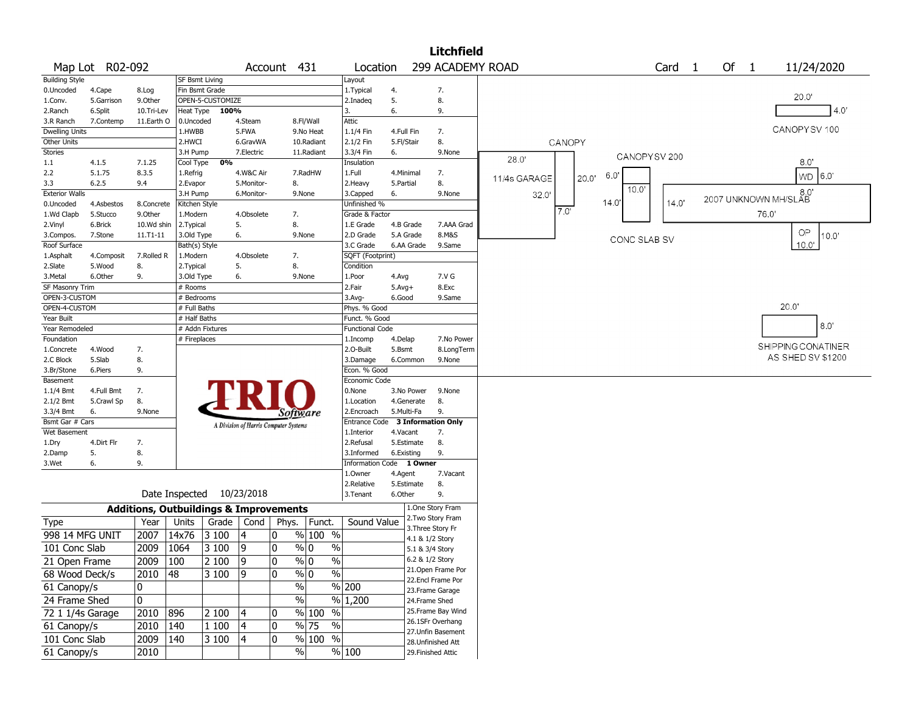|                              |                 |                                                   |                       |                  |                                       |                 |                             |                          |              |                 | <b>Litchfield</b>  |              |        |       |              |                   |                              |      |                    |                |      |
|------------------------------|-----------------|---------------------------------------------------|-----------------------|------------------|---------------------------------------|-----------------|-----------------------------|--------------------------|--------------|-----------------|--------------------|--------------|--------|-------|--------------|-------------------|------------------------------|------|--------------------|----------------|------|
|                              | Map Lot R02-092 |                                                   |                       |                  |                                       | Account 431     |                             | Location                 |              |                 | 299 ACADEMY ROAD   |              |        |       |              | Card <sub>1</sub> | Of 1                         |      |                    | 11/24/2020     |      |
| <b>Building Style</b>        |                 |                                                   | <b>SF Bsmt Living</b> |                  |                                       |                 |                             | Layout                   |              |                 |                    |              |        |       |              |                   |                              |      |                    |                |      |
| 0.Uncoded                    | 4.Cape          | 8.Log                                             | Fin Bsmt Grade        |                  |                                       |                 |                             | 1. Typical               | 4.           |                 | 7.                 |              |        |       |              |                   |                              |      |                    |                |      |
| 1.Conv.                      | 5.Garrison      | 9.Other                                           |                       | OPEN-5-CUSTOMIZE |                                       |                 |                             | 2.Inadeg                 | 5.           |                 | 8.                 |              |        |       |              |                   |                              |      | 20.0'              |                |      |
| 2.Ranch                      | 6.Split         | 10.Tri-Lev                                        | Heat Type             | 100%             |                                       |                 |                             | 3.                       | 6.           |                 | 9.                 |              |        |       |              |                   |                              |      |                    |                | 4.0' |
| 3.R Ranch                    | 7.Contemp       | 11.Earth O                                        | 0.Uncoded             |                  | 4.Steam                               |                 | 8.Fl/Wall                   | <b>Attic</b>             |              |                 |                    |              |        |       |              |                   |                              |      |                    |                |      |
| <b>Dwelling Units</b>        |                 |                                                   | 1.HWBB                |                  | 5.FWA                                 |                 | 9.No Heat                   | 1.1/4 Fin                | 4.Full Fin   |                 | 7.                 |              |        |       |              |                   |                              |      | CANOPYSV 100       |                |      |
| Other Units                  |                 |                                                   | 2.HWCI                |                  | 6.GravWA                              |                 | 10.Radiant                  | 2.1/2 Fin                | 5.Fl/Stair   |                 | 8.                 |              | CANOPY |       |              |                   |                              |      |                    |                |      |
| <b>Stories</b>               |                 |                                                   | 3.H Pump              |                  | 7. Electric                           |                 | 11.Radiant                  | 3.3/4 Fin                | 6.           |                 | 9.None             |              |        |       | CANOPYSV 200 |                   |                              |      |                    |                |      |
| 1.1                          | 4.1.5           | 7.1.25                                            | Cool Type             | 0%               |                                       |                 |                             | Insulation               |              |                 |                    | 28.0'        |        |       |              |                   |                              |      | 8.0"               |                |      |
| 2.2                          | 5.1.75          | 8.3.5                                             | 1.Refrig              |                  | 4.W&C Air                             |                 | 7.RadHW                     | 1.Full                   | 4.Minimal    |                 | 7.                 | 11/4s GARAGE | 20.0   | 6.0   |              |                   |                              |      |                    | WD 6.0         |      |
| 3.3                          | 6.2.5           | 9.4                                               | 2.Evapor              |                  | 5.Monitor-                            | 8.              |                             | 2. Heavy                 | 5.Partial    |                 | 8.                 |              |        |       | 10.0'        |                   |                              |      |                    |                |      |
| <b>Exterior Walls</b>        |                 |                                                   | 3.H Pump              |                  | 6.Monitor-                            |                 | 9.None                      | 3.Capped                 | 6.           |                 | 9.None             | 32.0         |        |       |              |                   | 8.0'<br>2007 UNKNOWN MH/SLAB |      |                    |                |      |
| 0.Uncoded                    | 4.Asbestos      | 8.Concrete                                        | Kitchen Style         |                  |                                       |                 |                             | Unfinished %             |              |                 |                    |              | 7.0'   | 14.0' |              | 14.0'             |                              |      |                    |                |      |
| 1.Wd Clapb                   | 5.Stucco        | 9.Other                                           | 1.Modern              |                  | 4.Obsolete                            | 7.              |                             | Grade & Factor           |              |                 |                    |              |        |       |              |                   |                              | 76.0 |                    |                |      |
| 2.Vinyl                      | 6.Brick         | 10.Wd shin                                        | 2.Typical             |                  | 5.                                    | 8.              |                             | 1.E Grade                | 4.B Grade    |                 | 7.AAA Grad         |              |        |       |              |                   |                              |      |                    |                |      |
| 3.Compos.                    | 7.Stone         | 11.T1-11                                          | 3.Old Type            |                  | 6.                                    |                 | 9.None                      | 2.D Grade                | 5.A Grade    |                 | 8.M&S              |              |        |       | CONC SLAB SV |                   |                              |      | OP                 | $10.0^{\circ}$ |      |
| Roof Surface                 |                 |                                                   | Bath(s) Style         |                  |                                       |                 |                             | 3.C Grade                |              | 6.AA Grade      | 9.Same             |              |        |       |              |                   |                              |      | 10.0'              |                |      |
| 1.Asphalt                    | 4.Composit      | 7.Rolled R                                        | 1.Modern              |                  | 4.Obsolete                            | 7.              |                             | SQFT (Footprint)         |              |                 |                    |              |        |       |              |                   |                              |      |                    |                |      |
| 2.Slate                      | 5.Wood          | 8.                                                | 2. Typical            |                  | 5.                                    | 8.              |                             | Condition                |              |                 |                    |              |        |       |              |                   |                              |      |                    |                |      |
| 3.Metal                      | 6.Other         | 9.                                                | 3.Old Type            |                  | 6.                                    |                 | 9.None                      | 1.Poor                   | 4.Avg        |                 | 7.V G              |              |        |       |              |                   |                              |      |                    |                |      |
| SF Masonry Trim              |                 |                                                   | # Rooms               |                  |                                       |                 |                             | 2.Fair                   | $5.$ Avg $+$ |                 | 8.Exc              |              |        |       |              |                   |                              |      |                    |                |      |
| OPEN-3-CUSTOM                |                 |                                                   | # Bedrooms            |                  |                                       |                 |                             | 3.Avg-                   | 6.Good       |                 | 9.Same             |              |        |       |              |                   |                              |      |                    |                |      |
| OPEN-4-CUSTOM                |                 |                                                   | # Full Baths          |                  |                                       |                 |                             | Phys. % Good             |              |                 |                    |              |        |       |              |                   |                              |      | 20.0'              |                |      |
| Year Built                   |                 |                                                   | # Half Baths          |                  |                                       |                 |                             | Funct. % Good            |              |                 |                    |              |        |       |              |                   |                              |      |                    | 8.0            |      |
| Year Remodeled               |                 |                                                   |                       | # Addn Fixtures  |                                       |                 |                             | <b>Functional Code</b>   |              |                 |                    |              |        |       |              |                   |                              |      |                    |                |      |
| Foundation                   |                 |                                                   | # Fireplaces          |                  |                                       |                 |                             | 1.Incomp                 | 4.Delap      |                 | 7.No Power         |              |        |       |              |                   |                              |      | SHIPPING CONATINER |                |      |
| 1.Concrete                   | 4.Wood          | 7.                                                |                       |                  |                                       |                 |                             | 2.0-Built                | 5.Bsmt       |                 | 8.LongTerm         |              |        |       |              |                   |                              |      | AS SHED SV \$1200  |                |      |
| 2.C Block                    | 5.Slab          | 8.                                                |                       |                  |                                       |                 |                             | 3.Damage                 |              | 6.Common        | 9.None             |              |        |       |              |                   |                              |      |                    |                |      |
| 3.Br/Stone                   | 6.Piers         | 9.                                                |                       |                  |                                       |                 |                             | Econ. % Good             |              |                 |                    |              |        |       |              |                   |                              |      |                    |                |      |
| Basement                     |                 |                                                   |                       |                  |                                       |                 |                             | Economic Code            |              |                 |                    |              |        |       |              |                   |                              |      |                    |                |      |
| $1.1/4$ Bmt                  | 4.Full Bmt      | 7.                                                |                       |                  |                                       |                 |                             | 0.None                   |              | 3.No Power      | 9.None             |              |        |       |              |                   |                              |      |                    |                |      |
| 2.1/2 Bmt                    | 5.Crawl Sp      | 8.<br>9.None                                      |                       |                  |                                       |                 |                             | 1.Location<br>2.Encroach | 5.Multi-Fa   | 4.Generate      | 8.<br>9.           |              |        |       |              |                   |                              |      |                    |                |      |
| 3.3/4 Bmt<br>Bsmt Gar # Cars | 6.              |                                                   |                       |                  |                                       | <i>Software</i> |                             | <b>Entrance Code</b>     |              |                 | 3 Information Only |              |        |       |              |                   |                              |      |                    |                |      |
| Wet Basement                 |                 |                                                   |                       |                  | A Division of Harris Computer Systems |                 |                             | 1.Interior               | 4.Vacant     |                 | 7.                 |              |        |       |              |                   |                              |      |                    |                |      |
| 1.Dry                        | 4.Dirt Flr      | 7.                                                |                       |                  |                                       |                 |                             | 2.Refusal                |              | 5.Estimate      | 8.                 |              |        |       |              |                   |                              |      |                    |                |      |
| 2.Damp                       | 5.              | 8.                                                |                       |                  |                                       |                 |                             | 3.Informed               | 6.Existing   |                 | 9.                 |              |        |       |              |                   |                              |      |                    |                |      |
| 3.Wet                        | 6.              | 9.                                                |                       |                  |                                       |                 |                             | Information Code 1 Owner |              |                 |                    |              |        |       |              |                   |                              |      |                    |                |      |
|                              |                 |                                                   |                       |                  |                                       |                 |                             | 1.0wner                  | 4.Agent      |                 | 7.Vacant           |              |        |       |              |                   |                              |      |                    |                |      |
|                              |                 |                                                   |                       |                  |                                       |                 |                             | 2.Relative               |              | 5.Estimate      | 8.                 |              |        |       |              |                   |                              |      |                    |                |      |
|                              |                 | Date Inspected                                    |                       |                  | 10/23/2018                            |                 |                             | 3. Tenant                | 6.Other      |                 | 9.                 |              |        |       |              |                   |                              |      |                    |                |      |
|                              |                 | <b>Additions, Outbuildings &amp; Improvements</b> |                       |                  |                                       |                 |                             |                          |              |                 | 1.One Story Fram   |              |        |       |              |                   |                              |      |                    |                |      |
| <b>Type</b>                  |                 | Year                                              | Units                 | Grade $ $        | Cond                                  | Phys.           | Funct.                      | Sound Value              |              |                 | 2. Two Story Fram  |              |        |       |              |                   |                              |      |                    |                |      |
|                              |                 |                                                   |                       |                  |                                       | 0               |                             |                          |              |                 | 3. Three Story Fr  |              |        |       |              |                   |                              |      |                    |                |      |
| 998 14 MFG UNIT              |                 | 2007                                              | 14x76                 | 3 100            | 14                                    |                 | % 100 %                     |                          |              | 4.1 & 1/2 Story |                    |              |        |       |              |                   |                              |      |                    |                |      |
| 101 Conc Slab                |                 | 2009                                              | 1064                  | 3 100            | 19                                    | 0               | $\%$<br>% 0                 |                          |              | 5.1 & 3/4 Story |                    |              |        |       |              |                   |                              |      |                    |                |      |
| 21 Open Frame                |                 | $2009$   100                                      |                       | 2 100            | 9                                     | 0               | % 0<br>%                    |                          |              | 6.2 & 1/2 Story |                    |              |        |       |              |                   |                              |      |                    |                |      |
| 68 Wood Deck/s               |                 | 2010                                              | 48                    | $\sqrt{3}100$    | 19                                    | 0               | $\sqrt{96}$ 0<br>$\sqrt{6}$ |                          |              |                 | 21. Open Frame Por |              |        |       |              |                   |                              |      |                    |                |      |
| 61 Canopy/s                  |                 | 0                                                 |                       |                  |                                       | $\sqrt{2}$      |                             | % 200                    |              |                 | 22.Encl Frame Por  |              |        |       |              |                   |                              |      |                    |                |      |
|                              |                 |                                                   |                       |                  |                                       |                 |                             |                          |              |                 | 23. Frame Garage   |              |        |       |              |                   |                              |      |                    |                |      |
| 24 Frame Shed                |                 | 0                                                 |                       |                  |                                       | $\sqrt{2}$      | $\frac{0}{0}$               | 1,200                    |              | 24.Frame Shed   |                    |              |        |       |              |                   |                              |      |                    |                |      |
| 72 1 1/4s Garage             |                 | 2010                                              | 896                   | 2 100            | 4                                     | 0               | % 100 %                     |                          |              |                 | 25. Frame Bay Wind |              |        |       |              |                   |                              |      |                    |                |      |
| 61 Canopy/s                  |                 | 2010                                              | 140                   | 1 100            | 4                                     | 0               | $\frac{9}{6}$ 75<br>$\%$    |                          |              |                 | 26.1SFr Overhang   |              |        |       |              |                   |                              |      |                    |                |      |
| 101 Conc Slab                |                 | 2009                                              | 140                   | 3 100            | 4                                     | 0               | $\frac{9}{6}$ 100 %         |                          |              |                 | 27.Unfin Basement  |              |        |       |              |                   |                              |      |                    |                |      |
| 61 Canopy/s                  |                 | 2010                                              |                       |                  |                                       | $\sqrt{6}$      |                             | % 100                    |              |                 | 28. Unfinished Att |              |        |       |              |                   |                              |      |                    |                |      |
|                              |                 |                                                   |                       |                  |                                       |                 |                             |                          |              |                 | 29. Finished Attic |              |        |       |              |                   |                              |      |                    |                |      |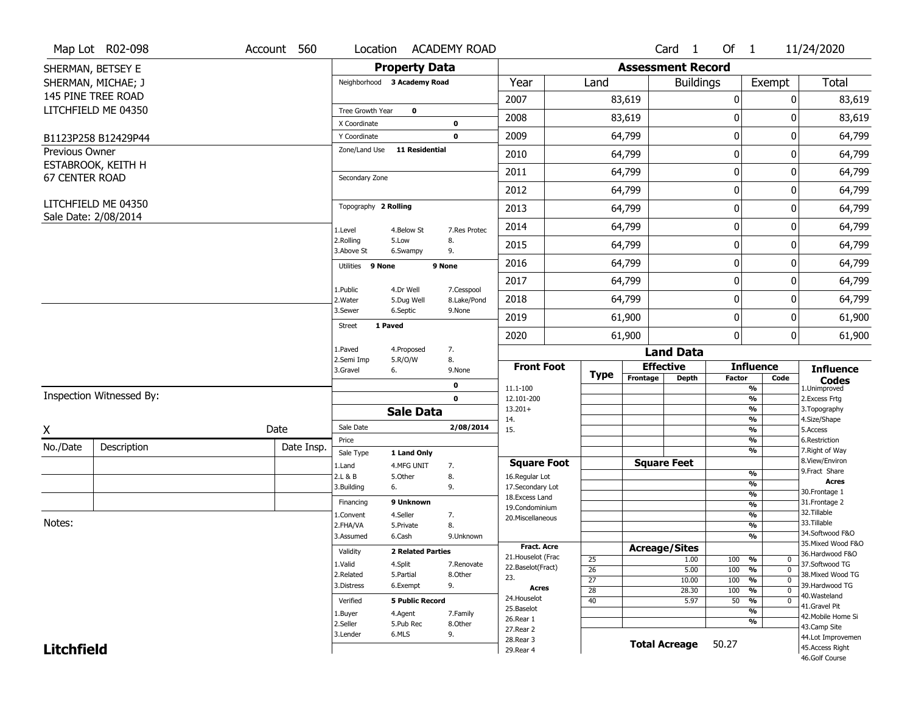|                       | Map Lot R02-098          | Account 560 | Location                    |                          | <b>ACADEMY ROAD</b> |                                      |                 |                          | Card <sub>1</sub>    | Of 1          |                                           | 11/24/2020                        |
|-----------------------|--------------------------|-------------|-----------------------------|--------------------------|---------------------|--------------------------------------|-----------------|--------------------------|----------------------|---------------|-------------------------------------------|-----------------------------------|
|                       | SHERMAN, BETSEY E        |             |                             | <b>Property Data</b>     |                     |                                      |                 | <b>Assessment Record</b> |                      |               |                                           |                                   |
|                       | SHERMAN, MICHAE; J       |             | Neighborhood 3 Academy Road |                          |                     | Year                                 | Land            |                          | <b>Buildings</b>     |               | Exempt                                    | <b>Total</b>                      |
|                       | 145 PINE TREE ROAD       |             |                             |                          |                     | 2007                                 |                 | 83,619                   |                      | 0             | 0                                         | 83,619                            |
|                       | LITCHFIELD ME 04350      |             | Tree Growth Year            | $\mathbf 0$              |                     |                                      |                 |                          |                      |               |                                           |                                   |
|                       |                          |             | X Coordinate                |                          | 0                   | 2008                                 |                 | 83,619                   |                      | 0             | 0                                         | 83,619                            |
|                       | B1123P258 B12429P44      |             | Y Coordinate                |                          | $\mathbf 0$         | 2009                                 |                 | 64,799                   |                      | $\mathbf 0$   | 0                                         | 64,799                            |
| Previous Owner        |                          |             | Zone/Land Use               | <b>11 Residential</b>    |                     | 2010                                 |                 | 64,799                   |                      | $\mathbf 0$   | 0                                         | 64,799                            |
|                       | ESTABROOK, KEITH H       |             |                             |                          |                     | 2011                                 |                 | 64,799                   |                      | $\mathbf 0$   | 0                                         | 64,799                            |
| <b>67 CENTER ROAD</b> |                          |             | Secondary Zone              |                          |                     | 2012                                 |                 | 64,799                   |                      | $\mathbf 0$   | 0                                         | 64,799                            |
|                       | LITCHFIELD ME 04350      |             | Topography 2 Rolling        |                          |                     | 2013                                 |                 | 64,799                   |                      | 0             | 0                                         | 64,799                            |
|                       | Sale Date: 2/08/2014     |             |                             |                          |                     |                                      |                 |                          |                      | $\mathbf 0$   |                                           |                                   |
|                       |                          |             | 1.Level<br>2.Rolling        | 4.Below St<br>5.Low      | 7.Res Protec<br>8.  | 2014                                 |                 | 64,799                   |                      |               | 0                                         | 64,799                            |
|                       |                          |             | 3.Above St                  | 6.Swampy                 | 9.                  | 2015                                 |                 | 64,799                   |                      | $\mathbf 0$   | 0                                         | 64,799                            |
|                       |                          |             | Utilities 9 None            |                          | 9 None              | 2016                                 |                 | 64,799                   |                      | $\mathbf 0$   | 0                                         | 64,799                            |
|                       |                          |             | 1.Public                    | 4.Dr Well                | 7.Cesspool          | 2017                                 |                 | 64,799                   |                      | $\mathbf 0$   | 0                                         | 64,799                            |
|                       |                          |             | 2. Water                    | 5.Dug Well               | 8.Lake/Pond         | 2018                                 |                 | 64,799                   |                      | $\mathbf 0$   | 0                                         | 64,799                            |
|                       |                          |             | 3.Sewer                     | 6.Septic                 | 9.None              | 2019                                 |                 | 61,900                   |                      | $\mathbf 0$   | 0                                         | 61,900                            |
|                       |                          |             | 1 Paved<br><b>Street</b>    |                          |                     | 2020                                 |                 | 61,900                   |                      | 0             | 0                                         | 61,900                            |
|                       |                          |             | 1.Paved                     | 4.Proposed               | 7.                  |                                      |                 |                          | <b>Land Data</b>     |               |                                           |                                   |
|                       |                          |             | 2.Semi Imp<br>3.Gravel      | 5.R/O/W<br>6.            | 8.<br>9.None        | <b>Front Foot</b>                    |                 |                          | <b>Effective</b>     |               | <b>Influence</b>                          | <b>Influence</b>                  |
|                       |                          |             |                             |                          | 0                   | 11.1-100                             | <b>Type</b>     | Frontage                 | <b>Depth</b>         | <b>Factor</b> | Code<br>%                                 | <b>Codes</b><br>1.Unimproved      |
|                       | Inspection Witnessed By: |             |                             |                          | $\mathbf 0$         | 12.101-200                           |                 |                          |                      |               | $\frac{9}{6}$                             | 2.Excess Frtg                     |
|                       |                          |             |                             | <b>Sale Data</b>         |                     | $13.201+$<br>14.                     |                 |                          |                      |               | %<br>$\frac{9}{6}$                        | 3. Topography<br>4.Size/Shape     |
| X                     |                          | Date        | Sale Date                   |                          | 2/08/2014           | 15.                                  |                 |                          |                      |               | %                                         | 5.Access                          |
| No./Date              | Description              | Date Insp.  | Price                       |                          |                     |                                      |                 |                          |                      |               | $\frac{9}{6}$                             | 6.Restriction                     |
|                       |                          |             | Sale Type                   | 1 Land Only              |                     |                                      |                 |                          | <b>Square Feet</b>   |               | %                                         | 7. Right of Way<br>8.View/Environ |
|                       |                          |             | 1.Land<br>2.L & B           | 4.MFG UNIT<br>5.Other    | 7.<br>8.            | <b>Square Foot</b><br>16.Regular Lot |                 |                          |                      |               | $\frac{9}{6}$                             | 9. Fract Share                    |
|                       |                          |             | 3.Building                  | 6.                       | 9.                  | 17.Secondary Lot                     |                 |                          |                      |               | %                                         | <b>Acres</b>                      |
|                       |                          |             | Financing                   | 9 Unknown                |                     | 18. Excess Land                      |                 |                          |                      |               | $\frac{9}{6}$                             | 30. Frontage 1<br>31. Frontage 2  |
|                       |                          |             |                             | 4.Seller                 |                     | 19.Condominium                       |                 |                          |                      |               | $\overline{\frac{9}{6}}$<br>$\frac{9}{6}$ | 32. Tillable                      |
| Notes:                |                          |             | 1.Convent<br>2.FHA/VA       | 5.Private                | 7.<br>8.            | 20.Miscellaneous                     |                 |                          |                      |               | $\frac{9}{6}$                             | 33.Tillable                       |
|                       |                          |             | 3.Assumed                   | 6.Cash                   | 9.Unknown           |                                      |                 |                          |                      |               | %                                         | 34.Softwood F&O                   |
|                       |                          |             |                             |                          |                     | <b>Fract. Acre</b>                   |                 |                          | <b>Acreage/Sites</b> |               |                                           | 35. Mixed Wood F&O                |
|                       |                          |             | Validity                    | <b>2 Related Parties</b> |                     | 21. Houselot (Frac                   | 25              |                          | 1.00                 | 100           | %<br>0                                    | 36.Hardwood F&O                   |
|                       |                          |             | 1.Valid                     | 4.Split                  | 7.Renovate          | 22.Baselot(Fract)                    | $\overline{26}$ |                          | 5.00                 | 100           | $\overline{0}$<br>%                       | 37.Softwood TG                    |
|                       |                          |             | 2.Related                   | 5.Partial                | 8.Other             | 23.                                  | $\overline{27}$ |                          | 10.00                | 100           | $\overline{0}$<br>%                       | 38. Mixed Wood TG                 |
|                       |                          |             | 3.Distress                  | 6.Exempt                 | 9.                  | <b>Acres</b>                         | $\overline{28}$ |                          | 28.30                | 100           | $\frac{9}{6}$<br>$\overline{0}$           | 39.Hardwood TG                    |
|                       |                          |             | Verified                    | <b>5 Public Record</b>   |                     | 24. Houselot                         | $\overline{40}$ |                          | 5.97                 | 50            | $\frac{9}{6}$<br>$\mathbf 0$              | 40. Wasteland<br>41.Gravel Pit    |
|                       |                          |             | 1.Buyer                     | 4.Agent                  | 7.Family            | 25.Baselot                           |                 |                          |                      |               | $\overline{\frac{9}{6}}$                  | 42. Mobile Home Si                |
|                       |                          |             | 2.Seller                    | 5.Pub Rec                | 8.Other             | 26.Rear 1                            |                 |                          |                      |               | %                                         | 43.Camp Site                      |
|                       |                          |             | 3.Lender                    | 6.MLS                    | 9.                  | 27.Rear 2<br>28.Rear 3               |                 |                          |                      |               |                                           | 44.Lot Improvemen                 |
| <b>Litchfield</b>     |                          |             |                             |                          |                     | 29. Rear 4                           |                 |                          | <b>Total Acreage</b> | 50.27         |                                           | 45.Access Right                   |
|                       |                          |             |                             |                          |                     |                                      |                 |                          |                      |               |                                           | 46.Golf Course                    |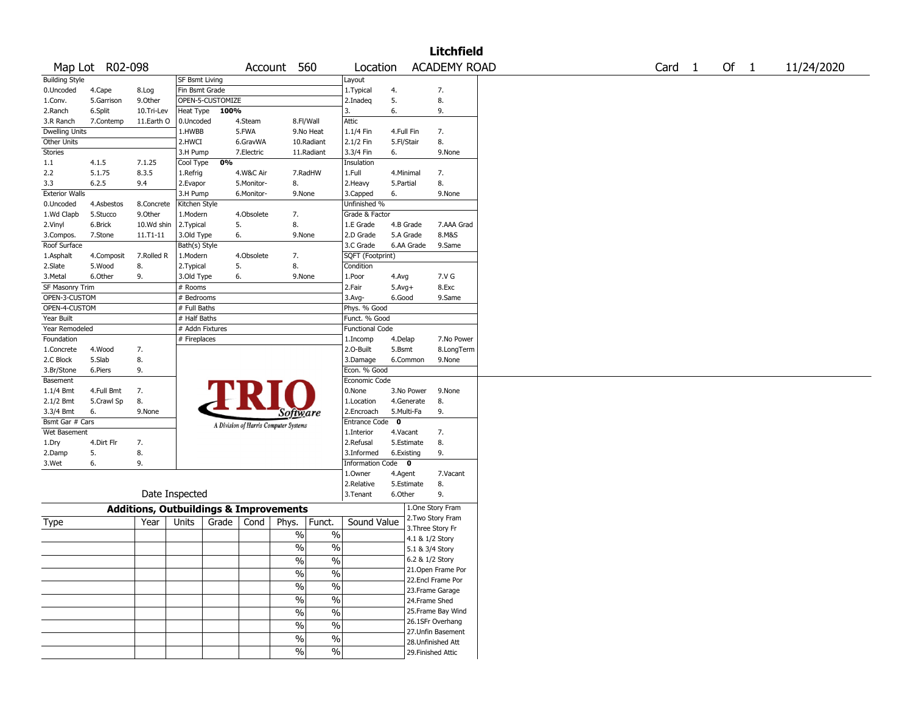|                       |                 |                                                   |                       |                  |            |                                       |                          |                        |             |            | <b>Litchfield</b>   |                   |        |            |
|-----------------------|-----------------|---------------------------------------------------|-----------------------|------------------|------------|---------------------------------------|--------------------------|------------------------|-------------|------------|---------------------|-------------------|--------|------------|
|                       | Map Lot R02-098 |                                                   |                       |                  | Account    |                                       | 560                      | Location               |             |            | <b>ACADEMY ROAD</b> | Card <sub>1</sub> | Of $1$ | 11/24/2020 |
| <b>Building Style</b> |                 |                                                   | <b>SF Bsmt Living</b> |                  |            |                                       |                          | Layout                 |             |            |                     |                   |        |            |
| 0.Uncoded             | 4.Cape          | 8.Log                                             | Fin Bsmt Grade        |                  |            |                                       |                          | 1.Typical              | 4.          |            | 7.                  |                   |        |            |
| 1.Conv.               | 5.Garrison      | 9.0ther                                           |                       | OPEN-5-CUSTOMIZE |            |                                       |                          | 2.Inadeg               | 5.          |            | 8.                  |                   |        |            |
| 2.Ranch               | 6.Split         | 10.Tri-Lev                                        | Heat Type             | 100%             |            |                                       |                          | 3.                     | 6.          |            | 9.                  |                   |        |            |
| 3.R Ranch             | 7.Contemp       | 11.Earth O                                        | 0.Uncoded             |                  | 4.Steam    |                                       | 8.Fl/Wall                | Attic                  |             |            |                     |                   |        |            |
| <b>Dwelling Units</b> |                 |                                                   | 1.HWBB                |                  | 5.FWA      |                                       | 9.No Heat                | 1.1/4 Fin              | 4.Full Fin  |            | 7.                  |                   |        |            |
| Other Units           |                 |                                                   | 2.HWCI                |                  | 6.GravWA   |                                       | 10.Radiant               | 2.1/2 Fin              | 5.Fl/Stair  |            | 8.                  |                   |        |            |
| Stories               |                 |                                                   | 3.H Pump              |                  | 7.Electric |                                       | 11.Radiant               | 3.3/4 Fin              | 6.          |            | 9.None              |                   |        |            |
| 1.1                   | 4.1.5           | 7.1.25                                            | Cool Type             | 0%               |            |                                       |                          | Insulation             |             |            |                     |                   |        |            |
| 2.2                   | 5.1.75          | 8.3.5                                             | 1.Refrig              |                  | 4.W&C Air  |                                       | 7.RadHW                  | 1.Full                 | 4.Minimal   |            | 7.                  |                   |        |            |
| 3.3                   | 6.2.5           | 9.4                                               | 2.Evapor              |                  | 5.Monitor- | 8.                                    |                          | 2.Heavy                | 5.Partial   |            | 8.                  |                   |        |            |
| <b>Exterior Walls</b> |                 |                                                   | 3.H Pump              |                  | 6.Monitor- | 9.None                                |                          | 3.Capped               | 6.          |            | 9.None              |                   |        |            |
| 0.Uncoded             | 4.Asbestos      | 8.Concrete                                        | Kitchen Style         |                  |            |                                       |                          | Unfinished %           |             |            |                     |                   |        |            |
| 1.Wd Clapb            | 5.Stucco        | 9.Other                                           | 1.Modern              |                  | 4.Obsolete | 7.                                    |                          | Grade & Factor         |             |            |                     |                   |        |            |
| 2.Vinyl               | 6.Brick         | 10.Wd shin                                        | 2.Typical             | 5.               |            | 8.                                    |                          | 1.E Grade              | 4.B Grade   |            | 7.AAA Grad          |                   |        |            |
| 3.Compos.             | 7.Stone         | 11.T1-11                                          | 3.Old Type            | 6.               |            | 9.None                                |                          | 2.D Grade              | 5.A Grade   |            | 8.M&S               |                   |        |            |
| Roof Surface          |                 |                                                   | Bath(s) Style         |                  |            |                                       |                          | 3.C Grade              |             | 6.AA Grade | 9.Same              |                   |        |            |
| 1.Asphalt             | 4.Composit      | 7.Rolled R                                        | 1.Modern              |                  | 4.Obsolete | 7.                                    |                          | SQFT (Footprint)       |             |            |                     |                   |        |            |
| 2.Slate               | 5.Wood          | 8.                                                | 2.Typical             | 5.               |            | 8.                                    |                          | Condition              |             |            |                     |                   |        |            |
| 3. Metal              | 6.Other         | 9.                                                | 3.Old Type            | 6.               |            | 9.None                                |                          | 1.Poor                 | 4.Avg       |            | 7.V G               |                   |        |            |
| SF Masonry Trim       |                 |                                                   | # Rooms               |                  |            |                                       |                          | 2.Fair                 | $5.Avg+$    |            | 8.Exc               |                   |        |            |
| OPEN-3-CUSTOM         |                 |                                                   | # Bedrooms            |                  |            |                                       |                          | 3.Avg-                 | 6.Good      |            | 9.Same              |                   |        |            |
| OPEN-4-CUSTOM         |                 |                                                   | # Full Baths          |                  |            |                                       |                          | Phys. % Good           |             |            |                     |                   |        |            |
| Year Built            |                 |                                                   | # Half Baths          |                  |            |                                       |                          | Funct. % Good          |             |            |                     |                   |        |            |
| Year Remodeled        |                 |                                                   | # Addn Fixtures       |                  |            |                                       |                          | <b>Functional Code</b> |             |            |                     |                   |        |            |
| Foundation            |                 |                                                   | # Fireplaces          |                  |            |                                       |                          | 1.Incomp               | 4.Delap     |            | 7.No Power          |                   |        |            |
| 1.Concrete            | 4.Wood          | 7.                                                |                       |                  |            |                                       |                          | 2.O-Built              | 5.Bsmt      |            | 8.LongTerm          |                   |        |            |
| 2.C Block             | 5.Slab          | 8.                                                |                       |                  |            |                                       |                          | 3.Damage               |             | 6.Common   | 9.None              |                   |        |            |
| 3.Br/Stone            | 6.Piers         | 9.                                                |                       |                  |            |                                       |                          | Econ. % Good           |             |            |                     |                   |        |            |
| Basement              |                 |                                                   |                       |                  |            |                                       |                          | Economic Code          |             |            |                     |                   |        |            |
| $1.1/4$ Bmt           | 4.Full Bmt      | 7.                                                |                       |                  |            |                                       |                          | 0.None                 |             | 3.No Power | 9.None              |                   |        |            |
| 2.1/2 Bmt             | 5.Crawl Sp      | 8.                                                |                       |                  |            |                                       |                          | 1.Location             |             | 4.Generate | 8.                  |                   |        |            |
| 3.3/4 Bmt             | 6.              | 9.None                                            |                       |                  |            | <i>Software</i>                       |                          | 2.Encroach             | 5.Multi-Fa  |            | 9.                  |                   |        |            |
| Bsmt Gar # Cars       |                 |                                                   |                       |                  |            |                                       |                          | <b>Entrance Code</b>   | $\mathbf 0$ |            |                     |                   |        |            |
| Wet Basement          |                 |                                                   |                       |                  |            | A Division of Harris Computer Systems |                          | 1.Interior             | 4.Vacant    |            | 7.                  |                   |        |            |
| 1.Dry                 | 4.Dirt Flr      | 7.                                                |                       |                  |            |                                       |                          | 2.Refusal              |             | 5.Estimate | 8.                  |                   |        |            |
| 2.Damp                | 5.              | 8.                                                |                       |                  |            |                                       |                          | 3.Informed             | 6.Existing  |            | 9.                  |                   |        |            |
| 3.Wet                 | 6.              | 9.                                                |                       |                  |            |                                       |                          | Information Code 0     |             |            |                     |                   |        |            |
|                       |                 |                                                   |                       |                  |            |                                       |                          | 1.0wner                | 4.Agent     |            | 7.Vacant            |                   |        |            |
|                       |                 |                                                   |                       |                  |            |                                       |                          | 2.Relative             |             | 5.Estimate | 8.                  |                   |        |            |
|                       |                 | Date Inspected                                    |                       |                  |            |                                       |                          | 3.Tenant               | 6.Other     |            | 9.                  |                   |        |            |
|                       |                 | <b>Additions, Outbuildings &amp; Improvements</b> |                       |                  |            |                                       |                          |                        |             |            | 1.One Story Fram    |                   |        |            |
|                       |                 |                                                   |                       |                  |            |                                       |                          |                        |             |            | 2. Two Story Fram   |                   |        |            |
| Type                  |                 | Year                                              | Units                 | Grade            | Cond       | Phys.                                 | Funct.                   | Sound Value            |             |            | 3. Three Story Fr   |                   |        |            |
|                       |                 |                                                   |                       |                  |            | $\%$                                  | $\%$                     |                        |             |            | 4.1 & 1/2 Story     |                   |        |            |
|                       |                 |                                                   |                       |                  |            | %                                     | $\%$                     |                        |             |            | 5.1 & 3/4 Story     |                   |        |            |
|                       |                 |                                                   |                       |                  |            | $\frac{1}{2}$                         | $\frac{0}{6}$            |                        |             |            | 6.2 & 1/2 Story     |                   |        |            |
|                       |                 |                                                   |                       |                  |            |                                       |                          |                        |             |            | 21. Open Frame Por  |                   |        |            |
|                       |                 |                                                   |                       |                  |            | $\sqrt{6}$                            | $\%$                     |                        |             |            | 22.Encl Frame Por   |                   |        |            |
|                       |                 |                                                   |                       |                  |            | $\sqrt{6}$                            | $\%$                     |                        |             |            | 23. Frame Garage    |                   |        |            |
|                       |                 |                                                   |                       |                  |            | $\sqrt{6}$                            | $\%$                     |                        |             |            | 24.Frame Shed       |                   |        |            |
|                       |                 |                                                   |                       |                  |            | $\sqrt{6}$                            | $\overline{\frac{0}{0}}$ |                        |             |            | 25. Frame Bay Wind  |                   |        |            |
|                       |                 |                                                   |                       |                  |            |                                       |                          |                        |             |            | 26.1SFr Overhang    |                   |        |            |
|                       |                 |                                                   |                       |                  |            | $\%$                                  | $\%$                     |                        |             |            | 27.Unfin Basement   |                   |        |            |
|                       |                 |                                                   |                       |                  |            | $\sqrt{6}$                            | $\%$                     |                        |             |            | 28.Unfinished Att   |                   |        |            |
|                       |                 |                                                   |                       |                  |            | $\frac{0}{0}$                         | $\%$                     |                        |             |            | 29. Finished Attic  |                   |        |            |
|                       |                 |                                                   |                       |                  |            |                                       |                          |                        |             |            |                     |                   |        |            |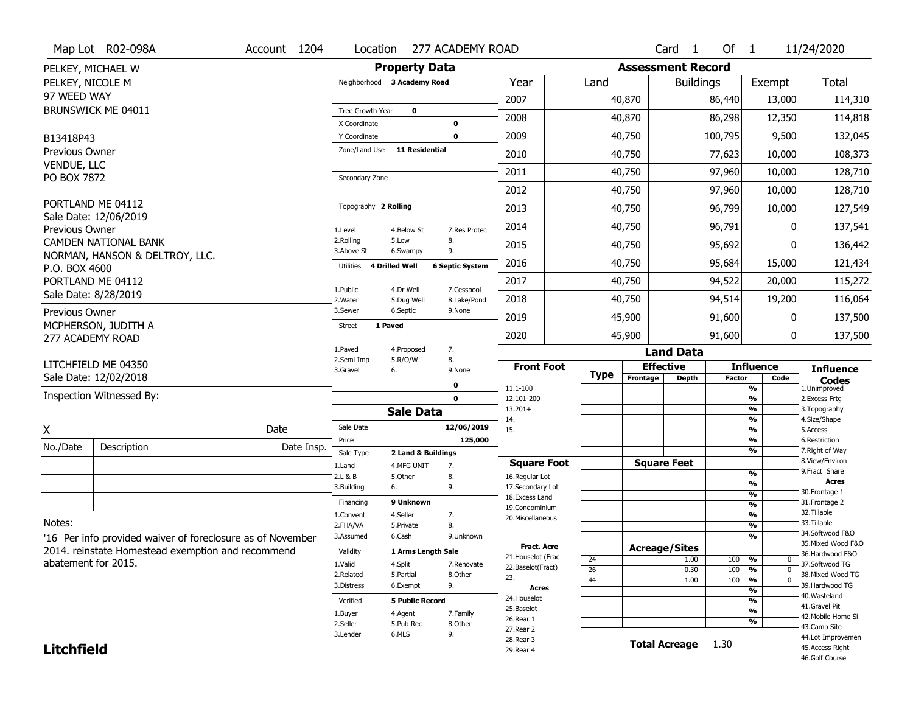|                            | Map Lot R02-098A                                                                                                | Account 1204 | Location                           | 277 ACADEMY ROAD                  |                                   |                                    |                 |                          | Card <sub>1</sub>    | Of $1$        |                                | 11/24/2020                         |
|----------------------------|-----------------------------------------------------------------------------------------------------------------|--------------|------------------------------------|-----------------------------------|-----------------------------------|------------------------------------|-----------------|--------------------------|----------------------|---------------|--------------------------------|------------------------------------|
|                            | PELKEY, MICHAEL W                                                                                               |              |                                    | <b>Property Data</b>              |                                   |                                    |                 | <b>Assessment Record</b> |                      |               |                                |                                    |
| PELKEY, NICOLE M           |                                                                                                                 |              | Neighborhood 3 Academy Road        |                                   | Year                              |                                    | Land            |                          | <b>Buildings</b>     |               | Exempt                         | <b>Total</b>                       |
| 97 WEED WAY                |                                                                                                                 |              |                                    |                                   | 2007                              |                                    |                 | 40,870                   |                      | 86,440        | 13,000                         | 114,310                            |
|                            | BRUNSWICK ME 04011                                                                                              |              | Tree Growth Year                   | $\mathbf 0$                       |                                   |                                    |                 |                          |                      |               |                                |                                    |
|                            |                                                                                                                 |              | X Coordinate                       | $\mathbf 0$                       | 2008                              |                                    |                 | 40,870                   |                      | 86,298        | 12,350                         | 114,818                            |
| B13418P43                  |                                                                                                                 |              | Y Coordinate                       | $\mathbf 0$                       | 2009                              |                                    |                 | 40,750                   |                      | 100,795       | 9,500                          | 132,045                            |
| Previous Owner             |                                                                                                                 |              | Zone/Land Use                      | <b>11 Residential</b>             | 2010                              |                                    |                 | 40,750                   |                      | 77,623        | 10,000                         | 108,373                            |
| VENDUE, LLC<br>PO BOX 7872 |                                                                                                                 |              | Secondary Zone                     |                                   | 2011                              |                                    |                 | 40,750                   |                      | 97,960        | 10,000                         | 128,710                            |
|                            |                                                                                                                 |              |                                    |                                   | 2012                              |                                    |                 | 40,750                   |                      | 97,960        | 10,000                         | 128,710                            |
|                            | PORTLAND ME 04112<br>Sale Date: 12/06/2019                                                                      |              | Topography 2 Rolling               |                                   | 2013                              |                                    |                 | 40,750                   |                      | 96,799        | 10,000                         | 127,549                            |
| Previous Owner             |                                                                                                                 |              | 1.Level                            | 4.Below St                        | 2014<br>7.Res Protec              |                                    |                 | 40,750                   |                      | 96,791        |                                | 137,541                            |
|                            | <b>CAMDEN NATIONAL BANK</b>                                                                                     |              | 2.Rolling<br>3.Above St            | 8.<br>5.Low<br>9.<br>6.Swampy     | 2015                              |                                    |                 | 40,750                   |                      | 95,692        | O                              | 136,442                            |
| P.O. BOX 4600              | NORMAN, HANSON & DELTROY, LLC.                                                                                  |              | <b>4 Drilled Well</b><br>Utilities | <b>6 Septic System</b>            | 2016                              |                                    |                 | 40,750                   |                      | 95,684        | 15,000                         | 121,434                            |
|                            | PORTLAND ME 04112                                                                                               |              |                                    |                                   | 2017                              |                                    |                 | 40,750                   |                      | 94,522        | 20,000                         | 115,272                            |
|                            | Sale Date: 8/28/2019                                                                                            |              | 1.Public<br>2. Water               | 4.Dr Well<br>5.Dug Well           | 7.Cesspool<br>2018<br>8.Lake/Pond |                                    |                 | 40,750                   |                      | 94,514        | 19,200                         | 116,064                            |
| Previous Owner             | MCPHERSON, JUDITH A                                                                                             |              | 3.Sewer                            | 6.Septic<br>9.None                | 2019                              |                                    |                 | 45,900                   |                      | 91,600        | 0                              | 137,500                            |
|                            | 277 ACADEMY ROAD                                                                                                |              | 1 Paved<br><b>Street</b>           |                                   | 2020                              |                                    |                 | 45,900                   |                      | 91,600        | 0                              | 137,500                            |
|                            |                                                                                                                 |              | 1.Paved                            | 7.<br>4.Proposed                  |                                   |                                    |                 |                          | <b>Land Data</b>     |               |                                |                                    |
|                            | LITCHFIELD ME 04350                                                                                             |              | 2.Semi Imp<br>3.Gravel             | 5.R/O/W<br>8.<br>6.<br>9.None     |                                   | <b>Front Foot</b>                  |                 |                          | <b>Effective</b>     |               | <b>Influence</b>               | <b>Influence</b>                   |
|                            |                                                                                                                 |              |                                    |                                   |                                   |                                    |                 |                          |                      |               |                                |                                    |
|                            | Sale Date: 12/02/2018                                                                                           |              |                                    |                                   |                                   |                                    | <b>Type</b>     | Frontage                 | <b>Depth</b>         | <b>Factor</b> | Code                           | Codes                              |
|                            | Inspection Witnessed By:                                                                                        |              |                                    | 0<br>$\mathbf 0$                  | 11.1-100<br>12.101-200            |                                    |                 |                          |                      |               | %<br>%                         | 1.Unimproved<br>2. Excess Frtg     |
|                            |                                                                                                                 |              |                                    | <b>Sale Data</b>                  | $13.201+$                         |                                    |                 |                          |                      |               | %                              | 3. Topography                      |
|                            |                                                                                                                 |              | Sale Date                          |                                   | 14.<br>12/06/2019<br>15.          |                                    |                 |                          |                      |               | %<br>%                         | 4.Size/Shape<br>5.Access           |
| X                          |                                                                                                                 | Date         | Price                              |                                   | 125,000                           |                                    |                 |                          |                      |               | %                              | 6.Restriction                      |
| No./Date                   | Description                                                                                                     | Date Insp.   | Sale Type                          | 2 Land & Buildings                |                                   |                                    |                 |                          |                      |               | %                              | 7. Right of Way                    |
|                            |                                                                                                                 |              | 1.Land                             | 4.MFG UNIT<br>7.                  |                                   | <b>Square Foot</b>                 |                 |                          | <b>Square Feet</b>   |               |                                | 8.View/Environ<br>9. Fract Share   |
|                            |                                                                                                                 |              | 2.L & B<br>3.Building              | 5.Other<br>8.<br>9.<br>6.         |                                   | 16.Regular Lot<br>17.Secondary Lot |                 |                          |                      |               | %<br>%                         | Acres                              |
|                            |                                                                                                                 |              |                                    |                                   |                                   | 18. Excess Land                    |                 |                          |                      |               | $\frac{9}{6}$                  | 30. Frontage 1                     |
|                            |                                                                                                                 |              | Financing                          | 9 Unknown                         |                                   | 19.Condominium                     |                 |                          |                      |               | %                              | 31. Frontage 2<br>32. Tillable     |
| Notes:                     |                                                                                                                 |              | 1.Convent<br>2.FHA/VA              | 4.Seller<br>7.<br>8.<br>5.Private |                                   | 20.Miscellaneous                   |                 |                          |                      |               | $\frac{9}{6}$<br>$\frac{9}{6}$ | 33.Tillable                        |
|                            |                                                                                                                 |              | 3.Assumed                          | 6.Cash                            | 9.Unknown                         |                                    |                 |                          |                      |               | %                              | 34.Softwood F&O                    |
|                            | '16 Per info provided waiver of foreclosure as of November<br>2014. reinstate Homestead exemption and recommend |              | Validity                           | 1 Arms Length Sale                |                                   | <b>Fract. Acre</b>                 |                 |                          | <b>Acreage/Sites</b> |               |                                | 35. Mixed Wood F&O                 |
| abatement for 2015.        |                                                                                                                 |              | 1.Valid                            |                                   | 7.Renovate                        | 21. Houselot (Frac                 | 24              |                          | 1.00                 | 100           | %<br>0                         | 36.Hardwood F&O<br>37.Softwood TG  |
|                            |                                                                                                                 |              | 2.Related                          | 4.Split<br>5.Partial<br>8.Other   |                                   | 22.Baselot(Fract)                  | $\overline{26}$ |                          | 0.30                 | 100           | $\overline{0}$<br>%            | 38. Mixed Wood TG                  |
|                            |                                                                                                                 |              | 3.Distress                         | 9.<br>6.Exempt                    | 23.                               | <b>Acres</b>                       | 44              |                          | 1.00                 | 100           | $\overline{0}$<br>%            | 39.Hardwood TG                     |
|                            |                                                                                                                 |              | Verified                           | <b>5 Public Record</b>            | 24. Houselot                      |                                    |                 |                          |                      |               | %<br>%                         | 40. Wasteland                      |
|                            |                                                                                                                 |              | 1.Buyer                            | 4.Agent<br>7.Family               | 25.Baselot                        |                                    |                 |                          |                      |               | %                              | 41.Gravel Pit                      |
|                            |                                                                                                                 |              | 2.Seller                           | 5.Pub Rec<br>8.Other              | 26.Rear 1                         |                                    |                 |                          |                      |               | %                              | 42. Mobile Home Si<br>43.Camp Site |
|                            |                                                                                                                 |              | 3.Lender                           | 9.<br>6.MLS                       | 27.Rear 2<br>28. Rear 3           |                                    |                 |                          |                      |               |                                | 44.Lot Improvemen                  |
| <b>Litchfield</b>          |                                                                                                                 |              |                                    |                                   | 29. Rear 4                        |                                    |                 |                          | <b>Total Acreage</b> | 1.30          |                                | 45.Access Right<br>46.Golf Course  |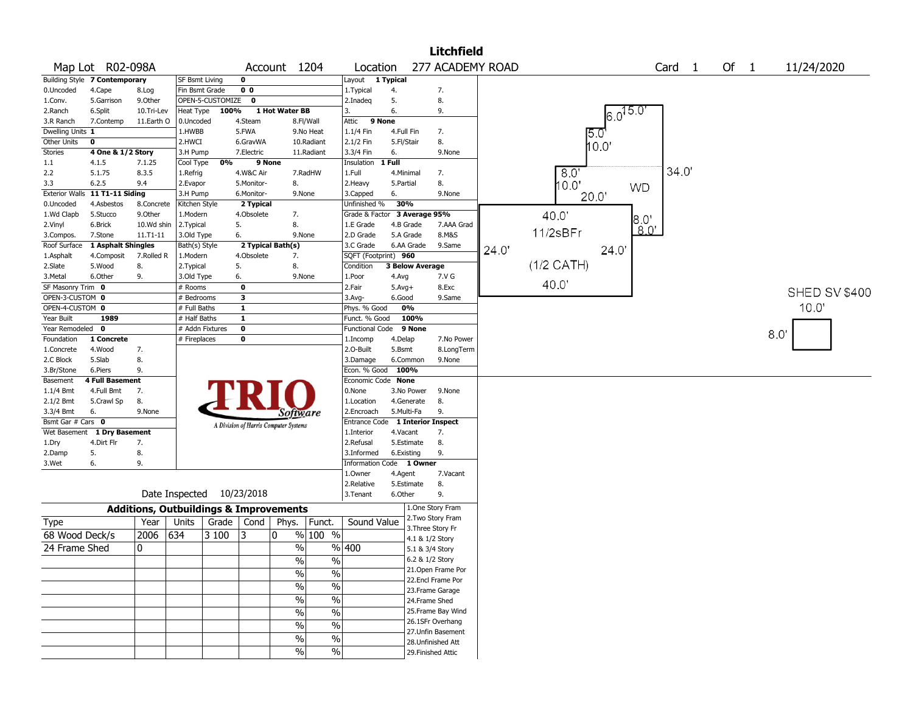|                      |                                |            |                                                   |                  |                |                                       |               |                                   |                        |                   | <b>Litchfield</b>  |                  |              |                   |      |                      |
|----------------------|--------------------------------|------------|---------------------------------------------------|------------------|----------------|---------------------------------------|---------------|-----------------------------------|------------------------|-------------------|--------------------|------------------|--------------|-------------------|------|----------------------|
|                      | Map Lot R02-098A               |            |                                                   |                  |                | Account 1204                          |               | Location                          |                        |                   |                    | 277 ACADEMY ROAD |              | Card <sub>1</sub> | Of 1 | 11/24/2020           |
|                      | Building Style 7 Contemporary  |            | <b>SF Bsmt Living</b>                             |                  | 0              |                                       |               | Layout 1 Typical                  |                        |                   |                    |                  |              |                   |      |                      |
| 0.Uncoded            | 4.Cape                         | 8.Log      | Fin Bsmt Grade                                    |                  | 0 <sub>0</sub> |                                       |               | 1.Typical                         | 4.                     |                   | 7.                 |                  |              |                   |      |                      |
| 1.Conv.              | 5.Garrison                     | 9.Other    |                                                   | OPEN-5-CUSTOMIZE | $\mathbf 0$    |                                       |               | 2.Inadeq                          | 5.                     |                   | 8.                 |                  |              |                   |      |                      |
| 2.Ranch              | 6.Split                        | 10.Tri-Lev | Heat Type                                         | 100%             |                | 1 Hot Water BB                        |               | 3.                                | 6.                     |                   | 9.                 |                  | $6.0^{15.0}$ |                   |      |                      |
| 3.R Ranch            | 7.Contemp                      | 11.Earth O | 0.Uncoded                                         |                  | 4.Steam        |                                       | 8.Fl/Wall     | Attic                             | 9 None                 |                   |                    |                  |              |                   |      |                      |
| Dwelling Units 1     |                                |            | 1.HWBB                                            |                  | 5.FWA          |                                       | 9.No Heat     | 1.1/4 Fin                         | 4.Full Fin             |                   | 7.                 |                  | 15 C         |                   |      |                      |
| Other Units          | 0                              |            | 2.HWCI                                            |                  | 6.GravWA       |                                       | 10.Radiant    | 2.1/2 Fin                         | 5.Fl/Stair             |                   | 8.                 |                  | 10.0'        |                   |      |                      |
| Stories              | 4 One & 1/2 Story              |            | 3.H Pump                                          |                  | 7.Electric     |                                       | 11.Radiant    | 3.3/4 Fin                         | 6.                     |                   | 9.None             |                  |              |                   |      |                      |
| $1.1\,$              | 4.1.5                          | 7.1.25     | Cool Type                                         | 0%               |                | 9 None                                |               | Insulation                        | 1 Full                 |                   |                    |                  |              | 34.0              |      |                      |
| 2.2                  | 5.1.75                         | 8.3.5      | 1.Refrig                                          |                  | 4.W&C Air      |                                       | 7.RadHW       | 1.Full                            | 4.Minimal              |                   | 7.                 |                  | 8.0          |                   |      |                      |
| 3.3                  | 6.2.5                          | 9.4        | 2.Evapor                                          |                  | 5.Monitor-     | 8.                                    |               | 2.Heavy                           | 5.Partial              |                   | 8.                 |                  | 10.0"        | <b>WD</b>         |      |                      |
|                      | Exterior Walls 11 T1-11 Siding |            | 3.H Pump                                          |                  | 6.Monitor-     | 9.None                                |               | 3.Capped                          | 6.                     |                   | 9.None             |                  | 20.0'        |                   |      |                      |
| 0.Uncoded            | 4.Asbestos                     | 8.Concrete | Kitchen Style                                     |                  | 2 Typical      |                                       |               | Unfinished %                      | 30%                    |                   |                    |                  |              |                   |      |                      |
| 1.Wd Clapb           | 5.Stucco                       | 9.0ther    | 1.Modern                                          |                  | 4.Obsolete     | 7.                                    |               | Grade & Factor 3 Average 95%      |                        |                   |                    |                  | 40.0         | $8.0^{\circ}$     |      |                      |
| 2.Vinyl              | 6.Brick                        | 10.Wd shin | 2. Typical                                        |                  | 5.             | 8.                                    |               | 1.E Grade                         | 4.B Grade              |                   | 7.AAA Grad         |                  | 11/2sBFr     | 8.0'              |      |                      |
| 3.Compos.            | 7.Stone                        | 11.T1-11   | 3.Old Type                                        |                  | 6.             | 9.None                                |               | 2.D Grade                         | 5.A Grade              |                   | 8.M&S              |                  |              |                   |      |                      |
| Roof Surface         | 1 Asphalt Shingles             | 7.Rolled R | Bath(s) Style                                     |                  | 4.Obsolete     | 2 Typical Bath(s)                     |               | 3.C Grade                         | 6.AA Grade             |                   | 9.Same             | 24.0'            | 24.0         |                   |      |                      |
| 1.Asphalt<br>2.Slate | 4.Composit<br>5.Wood           | 8.         | 1.Modern                                          |                  | 5.             | 7.<br>8.                              |               | SQFT (Footprint) 960<br>Condition | <b>3 Below Average</b> |                   |                    |                  | $(1/2$ CATH) |                   |      |                      |
| 3.Metal              | 6.Other                        | 9.         | 2. Typical<br>3.Old Type                          |                  | 6.             | 9.None                                |               | 1.Poor                            |                        |                   | 7.V G              |                  |              |                   |      |                      |
| SF Masonry Trim 0    |                                |            | # Rooms                                           |                  | 0              |                                       |               | 2.Fair                            | 4.Avg<br>$5.Avg+$      |                   | 8.Exc              |                  | 40.0         |                   |      |                      |
| OPEN-3-CUSTOM 0      |                                |            | # Bedrooms                                        |                  | 3              |                                       |               | 3.Avg-                            | 6.Good                 |                   | 9.Same             |                  |              |                   |      | <b>SHED SV \$400</b> |
| OPEN-4-CUSTOM 0      |                                |            | # Full Baths                                      |                  | $\mathbf{1}$   |                                       |               | Phys. % Good                      | 0%                     |                   |                    |                  |              |                   |      | 10.0                 |
| Year Built           | 1989                           |            | # Half Baths                                      |                  | $\mathbf{1}$   |                                       |               | Funct. % Good                     |                        | 100%              |                    |                  |              |                   |      |                      |
| Year Remodeled       | $\mathbf 0$                    |            | # Addn Fixtures                                   |                  | $\mathbf 0$    |                                       |               | <b>Functional Code</b>            |                        | 9 None            |                    |                  |              |                   |      |                      |
| Foundation           | 1 Concrete                     |            | # Fireplaces                                      |                  | 0              |                                       |               | 1.Incomp                          | 4.Delap                |                   | 7.No Power         |                  |              |                   |      | 8.0                  |
| 1.Concrete           | 4.Wood                         | 7.         |                                                   |                  |                |                                       |               | 2.O-Built                         | 5.Bsmt                 |                   | 8.LongTerm         |                  |              |                   |      |                      |
| 2.C Block            | 5.Slab                         | 8.         |                                                   |                  |                |                                       |               | 3.Damage                          | 6.Common               |                   | 9.None             |                  |              |                   |      |                      |
| 3.Br/Stone           | 6.Piers                        | 9.         |                                                   |                  |                |                                       |               | Econ. % Good 100%                 |                        |                   |                    |                  |              |                   |      |                      |
| Basement             | <b>4 Full Basement</b>         |            |                                                   |                  |                |                                       |               | Economic Code None                |                        |                   |                    |                  |              |                   |      |                      |
| 1.1/4 Bmt            | 4.Full Bmt                     | 7.         |                                                   |                  |                |                                       |               | 0.None                            | 3.No Power             |                   | 9.None             |                  |              |                   |      |                      |
| 2.1/2 Bmt            | 5.Crawl Sp                     | 8.         |                                                   |                  |                |                                       |               | 1.Location                        | 4.Generate             |                   | 8.                 |                  |              |                   |      |                      |
| 3.3/4 Bmt            | 6.                             | 9.None     |                                                   |                  |                | Software                              |               | 2.Encroach                        | 5.Multi-Fa             |                   | 9.                 |                  |              |                   |      |                      |
| Bsmt Gar # Cars 0    |                                |            |                                                   |                  |                | A Division of Harris Computer Systems |               | Entrance Code 1 Interior Inspect  |                        |                   |                    |                  |              |                   |      |                      |
| Wet Basement         | 1 Dry Basement                 |            |                                                   |                  |                |                                       |               | 1.Interior                        | 4.Vacant               |                   | 7.                 |                  |              |                   |      |                      |
| 1.Dry                | 4.Dirt Flr                     | 7.         |                                                   |                  |                |                                       |               | 2.Refusal                         | 5.Estimate             |                   | 8.                 |                  |              |                   |      |                      |
| 2.Damp               | 5.                             | 8.         |                                                   |                  |                |                                       |               | 3.Informed                        | 6.Existing             |                   | 9.                 |                  |              |                   |      |                      |
| 3.Wet                | 6.                             | 9.         |                                                   |                  |                |                                       |               | Information Code 1 Owner          |                        |                   |                    |                  |              |                   |      |                      |
|                      |                                |            |                                                   |                  |                |                                       |               | 1.Owner                           | 4.Agent                |                   | 7.Vacant           |                  |              |                   |      |                      |
|                      |                                |            |                                                   |                  |                |                                       |               | 2.Relative                        | 5.Estimate             |                   | 8.                 |                  |              |                   |      |                      |
|                      |                                |            | Date Inspected 10/23/2018                         |                  |                |                                       |               | 3. Tenant                         | 6.Other                |                   | 9.                 |                  |              |                   |      |                      |
|                      |                                |            | <b>Additions, Outbuildings &amp; Improvements</b> |                  |                |                                       |               |                                   |                        |                   | 1.One Story Fram   |                  |              |                   |      |                      |
| <b>Type</b>          |                                | Year       | Units                                             | Grade   Cond     |                | Phys.                                 | Funct.        | Sound Value                       |                        |                   | 2. Two Story Fram  |                  |              |                   |      |                      |
|                      |                                | 2006       |                                                   |                  | 13             | 0                                     | % 100 %       |                                   |                        | 3. Three Story Fr |                    |                  |              |                   |      |                      |
| 68 Wood Deck/s       |                                |            | 634                                               | 3 100            |                |                                       |               |                                   |                        | 4.1 & 1/2 Story   |                    |                  |              |                   |      |                      |
| 24 Frame Shed        |                                | 0          |                                                   |                  |                | $\%$                                  |               | %  400                            |                        | 5.1 & 3/4 Story   |                    |                  |              |                   |      |                      |
|                      |                                |            |                                                   |                  |                | $\frac{0}{0}$                         | $\frac{0}{0}$ |                                   |                        | 6.2 & 1/2 Story   |                    |                  |              |                   |      |                      |
|                      |                                |            |                                                   |                  |                | $\frac{0}{0}$                         | $\%$          |                                   |                        |                   | 21. Open Frame Por |                  |              |                   |      |                      |
|                      |                                |            |                                                   |                  |                | $\frac{1}{2}$                         | $\%$          |                                   |                        |                   | 22.Encl Frame Por  |                  |              |                   |      |                      |
|                      |                                |            |                                                   |                  |                |                                       |               |                                   |                        |                   | 23. Frame Garage   |                  |              |                   |      |                      |
|                      |                                |            |                                                   |                  |                | $\frac{1}{2}$                         | $\%$          |                                   |                        | 24.Frame Shed     |                    |                  |              |                   |      |                      |
|                      |                                |            |                                                   |                  |                | $\frac{0}{0}$                         | $\%$          |                                   |                        |                   | 25. Frame Bay Wind |                  |              |                   |      |                      |
|                      |                                |            |                                                   |                  |                | $\frac{0}{0}$                         | $\%$          |                                   |                        |                   | 26.1SFr Overhang   |                  |              |                   |      |                      |
|                      |                                |            |                                                   |                  |                | $\frac{0}{0}$                         | $\%$          |                                   |                        |                   | 27.Unfin Basement  |                  |              |                   |      |                      |
|                      |                                |            |                                                   |                  |                |                                       |               |                                   |                        |                   | 28. Unfinished Att |                  |              |                   |      |                      |
|                      |                                |            |                                                   |                  |                | $\frac{0}{0}$                         | $\%$          |                                   |                        |                   | 29. Finished Attic |                  |              |                   |      |                      |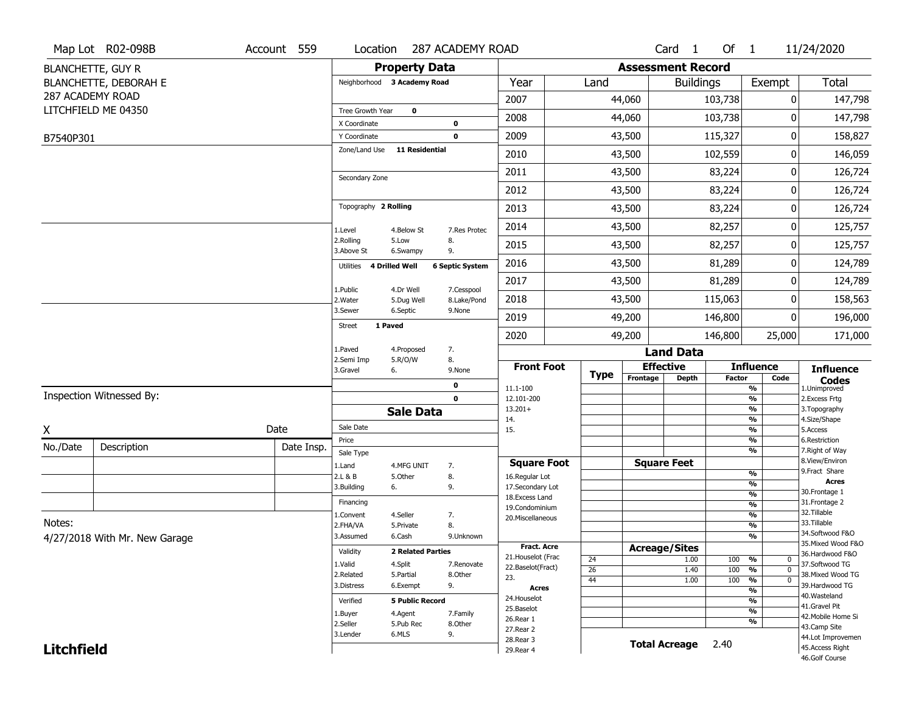|                   | Map Lot R02-098B              | Account 559 | Location                |                             | 287 ACADEMY ROAD          |                                         |             |          | Card 1                   | Of $1$        |                                                    | 11/24/2020                            |
|-------------------|-------------------------------|-------------|-------------------------|-----------------------------|---------------------------|-----------------------------------------|-------------|----------|--------------------------|---------------|----------------------------------------------------|---------------------------------------|
|                   | <b>BLANCHETTE, GUY R</b>      |             |                         | <b>Property Data</b>        |                           |                                         |             |          | <b>Assessment Record</b> |               |                                                    |                                       |
|                   | <b>BLANCHETTE, DEBORAH E</b>  |             |                         | Neighborhood 3 Academy Road |                           | Year                                    | Land        |          | <b>Buildings</b>         |               | Exempt                                             | <b>Total</b>                          |
|                   | 287 ACADEMY ROAD              |             |                         |                             |                           | 2007                                    |             | 44,060   |                          | 103,738       | 0                                                  | 147,798                               |
|                   | LITCHFIELD ME 04350           |             | Tree Growth Year        | $\mathbf 0$                 |                           |                                         |             |          |                          |               |                                                    |                                       |
|                   |                               |             | X Coordinate            |                             | $\bf{0}$                  | 2008                                    |             | 44,060   |                          | 103,738       | 0                                                  | 147,798                               |
| B7540P301         |                               |             | Y Coordinate            |                             | $\mathbf 0$               | 2009                                    |             | 43,500   |                          | 115,327       | 0                                                  | 158,827                               |
|                   |                               |             | Zone/Land Use           | <b>11 Residential</b>       |                           | 2010                                    |             | 43,500   |                          | 102,559       | 0                                                  | 146,059                               |
|                   |                               |             | Secondary Zone          |                             |                           | 2011                                    |             | 43,500   |                          | 83,224        | 0                                                  | 126,724                               |
|                   |                               |             |                         |                             |                           | 2012                                    |             | 43,500   |                          | 83,224        | 0                                                  | 126,724                               |
|                   |                               |             | Topography 2 Rolling    |                             |                           | 2013                                    |             | 43,500   |                          | 83,224        | 0                                                  | 126,724                               |
|                   |                               |             | 1.Level                 | 4.Below St                  | 7.Res Protec              | 2014                                    |             | 43,500   |                          | 82,257        | 0                                                  | 125,757                               |
|                   |                               |             | 2.Rolling<br>3.Above St | 5.Low<br>6.Swampy           | 8.<br>9.                  | 2015                                    |             | 43,500   |                          | 82,257        | 0                                                  | 125,757                               |
|                   |                               |             | Utilities               | 4 Drilled Well              | <b>6 Septic System</b>    | 2016                                    |             | 43,500   |                          | 81,289        | 0                                                  | 124,789                               |
|                   |                               |             |                         |                             |                           | 2017                                    |             | 43,500   |                          | 81,289        | 0                                                  | 124,789                               |
|                   |                               |             | 1.Public<br>2. Water    | 4.Dr Well<br>5.Dug Well     | 7.Cesspool<br>8.Lake/Pond | 2018                                    |             | 43,500   |                          | 115,063       | 0                                                  | 158,563                               |
|                   |                               |             | 3.Sewer                 | 6.Septic                    | 9.None                    | 2019                                    |             | 49,200   |                          | 146,800       | 0                                                  | 196,000                               |
|                   |                               |             | <b>Street</b>           | 1 Paved                     |                           | 2020                                    |             | 49,200   |                          | 146,800       | 25,000                                             | 171,000                               |
|                   |                               |             | 1.Paved                 | 4.Proposed                  | 7.                        |                                         |             |          | <b>Land Data</b>         |               |                                                    |                                       |
|                   |                               |             | 2.Semi Imp<br>3.Gravel  | 5.R/O/W<br>6.               | 8.<br>9.None              | <b>Front Foot</b>                       |             |          | <b>Effective</b>         |               | <b>Influence</b>                                   | <b>Influence</b>                      |
|                   |                               |             |                         |                             | 0                         | 11.1-100                                | <b>Type</b> | Frontage | <b>Depth</b>             | <b>Factor</b> | Code<br>%                                          | <b>Codes</b><br>1.Unimproved          |
|                   | Inspection Witnessed By:      |             |                         |                             | $\mathbf 0$               | 12.101-200                              |             |          |                          |               | $\frac{9}{6}$                                      | 2.Excess Frtg                         |
|                   |                               |             |                         | <b>Sale Data</b>            |                           | $13.201+$                               |             |          |                          |               | %                                                  | 3. Topography                         |
| X                 |                               | Date        | Sale Date               |                             |                           | 14.<br>15.                              |             |          |                          |               | %<br>$\frac{9}{6}$                                 | 4.Size/Shape<br>5.Access              |
| No./Date          |                               |             | Price                   |                             |                           |                                         |             |          |                          |               | %                                                  | 6.Restriction                         |
|                   | Description                   | Date Insp.  | Sale Type               |                             |                           |                                         |             |          |                          |               | %                                                  | 7. Right of Way<br>8.View/Environ     |
|                   |                               |             | 1.Land<br>2.L & B       | 4.MFG UNIT<br>5.Other       | 7.<br>8.                  | <b>Square Foot</b><br>16.Regular Lot    |             |          | <b>Square Feet</b>       |               | $\frac{9}{6}$                                      | 9.Fract Share                         |
|                   |                               |             | 3.Building              | 6.                          | 9.                        | 17.Secondary Lot                        |             |          |                          |               | $\frac{9}{6}$                                      | <b>Acres</b>                          |
|                   |                               |             | Financing               |                             |                           | 18.Excess Land                          |             |          |                          |               | $\frac{9}{6}$                                      | 30.Frontage 1<br>31. Frontage 2       |
|                   |                               |             | 1.Convent               | 4.Seller                    | 7.                        | 19.Condominium                          |             |          |                          |               | $\frac{9}{6}$<br>$\frac{9}{6}$                     | 32.Tillable                           |
| Notes:            |                               |             | 2.FHA/VA                | 5.Private                   | 8.                        | 20.Miscellaneous                        |             |          |                          |               | $\frac{9}{6}$                                      | 33.Tillable                           |
|                   | 4/27/2018 With Mr. New Garage |             | 3.Assumed               | 6.Cash                      | 9.Unknown                 |                                         |             |          |                          |               | $\frac{9}{6}$                                      | 34.Softwood F&O                       |
|                   |                               |             | Validity                | <b>2 Related Parties</b>    |                           | <b>Fract. Acre</b>                      |             |          | <b>Acreage/Sites</b>     |               |                                                    | 35. Mixed Wood F&O<br>36.Hardwood F&O |
|                   |                               |             | 1.Valid                 | 4.Split                     | 7.Renovate                | 21. Houselot (Frac<br>22.Baselot(Fract) | 24          |          | 1.00                     | 100           | %<br>0                                             | 37.Softwood TG                        |
|                   |                               |             | 2.Related               | 5.Partial                   | 8.Other                   | 23.                                     | 26<br>44    |          | 1.40<br>1.00             | 100<br>100    | $\frac{9}{6}$<br>$\mathbf 0$<br>$\frac{9}{6}$<br>0 | 38. Mixed Wood TG                     |
|                   |                               |             | 3.Distress              | 6.Exempt                    | 9.                        | <b>Acres</b>                            |             |          |                          |               | $\frac{9}{6}$                                      | 39.Hardwood TG                        |
|                   |                               |             | Verified                | <b>5 Public Record</b>      |                           | 24. Houselot                            |             |          |                          |               | $\frac{9}{6}$                                      | 40. Wasteland                         |
|                   |                               |             | 1.Buyer                 | 4.Agent                     | 7.Family                  | 25.Baselot                              |             |          |                          |               | $\frac{9}{6}$                                      | 41.Gravel Pit<br>42. Mobile Home Si   |
|                   |                               |             | 2.Seller                | 5.Pub Rec                   | 8.Other                   | 26.Rear 1<br>27.Rear 2                  |             |          |                          |               | %                                                  | 43.Camp Site                          |
|                   |                               |             |                         |                             |                           |                                         |             |          |                          |               |                                                    |                                       |
|                   |                               |             | 3.Lender                | 6.MLS                       | 9.                        |                                         |             |          |                          |               |                                                    | 44.Lot Improvemen                     |
| <b>Litchfield</b> |                               |             |                         |                             |                           | 28. Rear 3<br>29. Rear 4                |             |          | <b>Total Acreage</b>     | 2.40          |                                                    | 45. Access Right<br>46.Golf Course    |